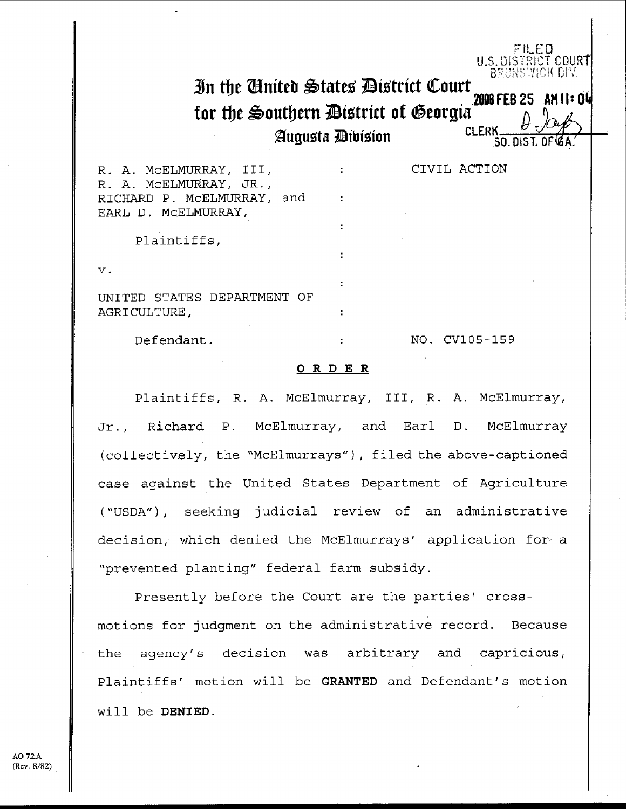# 3i**<sup>n</sup> the autteb'tate**ss **Dtotrtct Court for the Southern Bistrict of Georgia** 2008 FEB 25 AI<br>CLERK  $\theta$

**2ugu5ta ibtzton SO**. **WIST. <sup>O</sup> <sup>F</sup>**

FILED U.S. DISTRICT COURT<br>BRUNSWICK DIV.

**2008 FEB 25 AM II : 04** 

R. A. MCELMURRAY, III, THE RESERVE CIVIL ACTION R. A. MCELMURRAY, JR., RICHARD P. McELMURRAY, and EARL D. MCELMURRAY,

Plaintiffs ,

**V .**

UNITED STATES DEPARTMENT OF AGRICULTURE ,

Defendant .  $\qquad \qquad$  :  $\qquad \qquad$  NO . CV105-159

#### O R D E R

Plaintiffs, R. A. McElmurray, III, R. A. McElmurray, Jr., Richard P. McElmurray, and Earl D. McElmurray (collectively, the "McElmurrays"), filed the above-captioned case against the United States Department of Agriculture ("USDA"), seeking judicial review of an administrative decision, which denied the McElmurrays' application for. a "prevented planting" federal farm subsidy .

Presently before the Court are the parties' crossmotions for judgment on the administrative record. Because the agency's decision was arbitrary and capricious, Plaintiffs' motion will be **GRANTED** and Defendant's motion will be **DENIED .**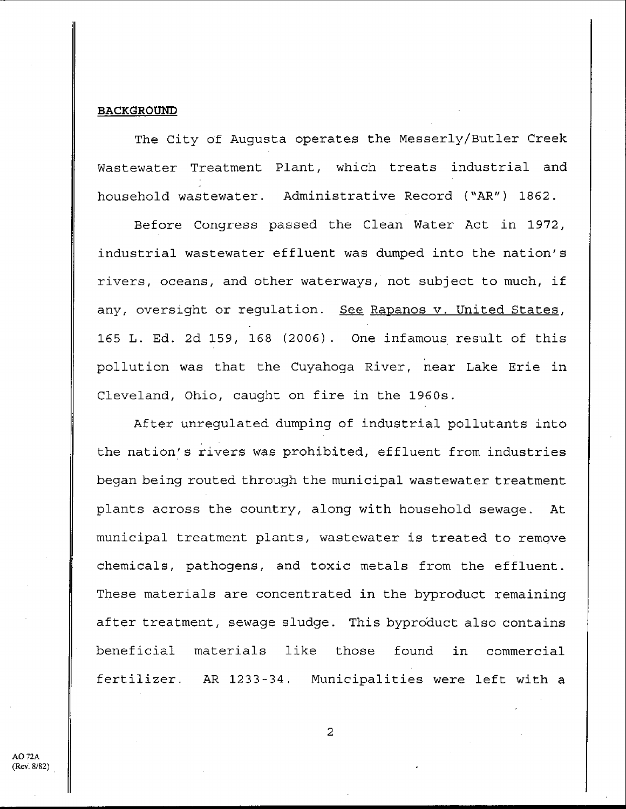#### **BACKGROUND**

The City of Augusta operates the Messerly/Butler Creek Wastewater Treatment Plant, which treats industrial and household wastewater. Administrative Record ("AR") 1862.

Before Congress passed the Clean Water Act in 1972 , industrial wastewater effluent was dumped into the nation's rivers, oceans, and other waterways, not subject to much, if any, oversight or requlation. See Rapanos v. United States, 165 L. Ed. 2d 159, 168 (2006). One infamous result of this pollution was that the Cuyahoga River, near Lake Erie in Cleveland, Ohio, caught on fire in the 1960s .

After unregulated dumping of industrial pollutants into the nation's rivers was prohibited, effluent from industries began being routed through the municipal wastewater treatment plants across the country, along with household sewage. At municipal treatment plants, wastewater is treated to remove chemicals, pathogens, and toxic metals from the effluent . These materials are concentrated in the byproduct remaining after treatment, sewage sludge . This byproduct also contains beneficial materials like those found in commercial fertilizer. AR 1233-34. Municipalities were left with a

AO 72A (Rev. 8/82)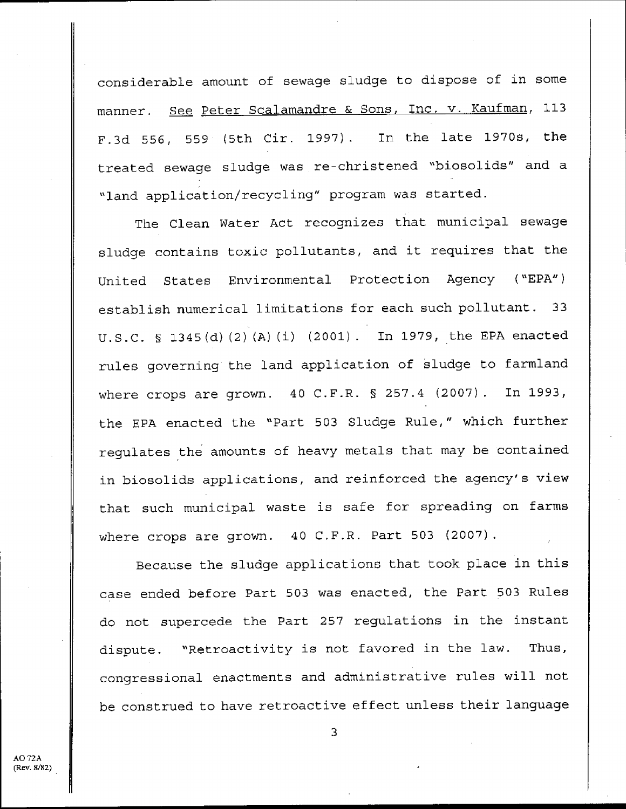considerable amount of sewage sludge to dispose of in some manner. See Peter Scalamandre & Sons, Inc. v. Kaufman, 113 F.3d 556, 559 (5th Cir. 1997). In the late 1970s, the treated sewage sludge was re-christened "biosolids" and a "land application/recycling" program was started .

The Clean Water Act recognizes that municipal sewage sludge contains toxic pollutants, and it requires that the United States Environmental Protection Agency ("EPA") establish numerical limitations for each such pollutant. 33 U .S .C . § 1345(d) (2) (A) (i) (2001) . In 1979, the EPA enacted rules governing the land application of sludge to farmland where crops are grown. 40 C.F.R. § 257.4 (2007). In 1993, the EPA enacted the "Part 503 Sludge Rule," which further regulates the amounts of heavy metals that may be contained in biosolids applications, and reinforced the agency's view that such municipal waste is safe for spreading on farms where crops are grown.  $40$  C.F.R. Part 503 (2007).

Because the sludge applications that took place in this case ended before Part 503 was enacted, the Part 503 Rules do not supercede the Part 257 regulations in the instant dispute. "Retroactivity is not favored in the law. Thus, congressional enactments and administrative rules will not be construed to have retroactive effect unless their language

AO 72A (Rev. 8/82)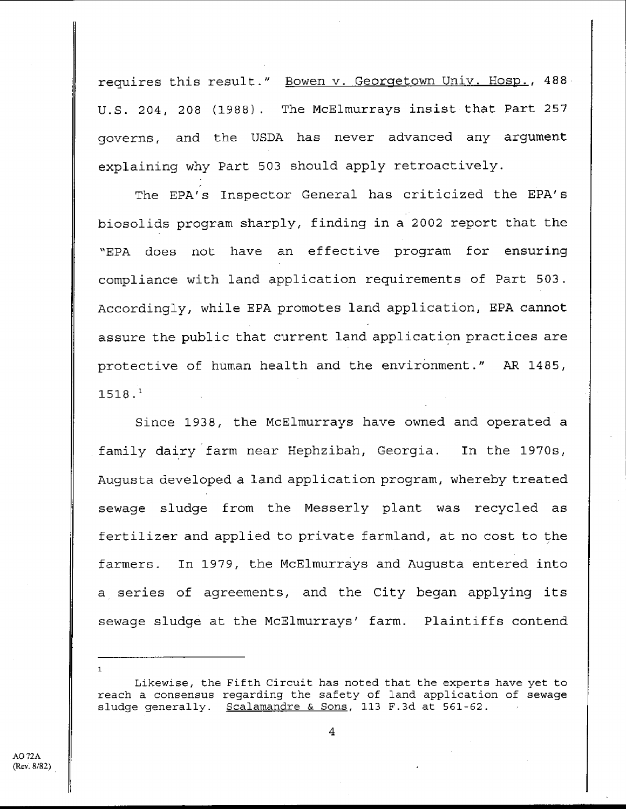requires this result." Bowen v. Georgetown Univ. Hosp., 488 U.S. 204, 208 (1988). The McElmurrays insist that Part 257 governs, and the USDA has never advanced any argument explaining why Part 503 should apply retroactively.

The EPA's Inspector General has criticized the EPA's biosolids program sharply, finding in a 2002 report that the "EPA does not have an effective program for ensuring compliance with land application requirements of Part 503 . Accordingly, while EPA promotes land application, EPA cannot assure the public that current land application practices are protective of human health and the environment ." AR 1485, **1518 . <sup>1</sup>**

Since 1938, the McElmurrays have owned and operated a family dairy farm near Hephzibah, Georgia. In the 1970s, Augusta developed a land application program, whereby treated sewage sludge from the Messerly plant was recycled as fertilizer and applied to private farmland, at no cost to the farmers. In 1979, the McElmurrays and Augusta entered into a series of agreements, and the City began applying its sewage sludge at the McElmurrays' farm. Plaintiffs contend

Likewise, the Fifth Circuit has noted that the experts have yet to reach a consensus regarding the safety of land application of sewage sludge generally. Scalamandre & Sons, 113 F.3d at  $561-62$ .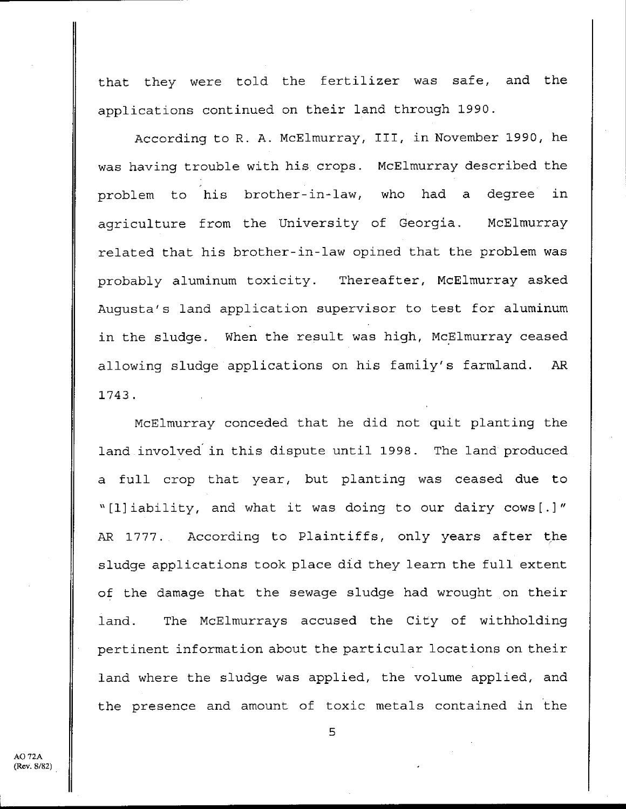that they were told the fertilizer was safe, and the applications continued on their land through 1990 .

According to R. A. McElmurray, III, in November 1990, he was having trouble with his, crops . McElmurray described the problem to his brother-in-law, who had a degree in agriculture from the University of Georgia. McElmurray related that his brother-in-law opined that the problem was probably aluminum toxicity. Thereafter, McElmurray asked Augusta's land application supervisor to test for aluminum in the sludge. When the result was high, McElmurray ceased allowing sludge applications on his family's farmland. AR 1743 .

McElmurray conceded that he did not quit planting the land involved in this dispute until 1998. The land produced a full crop that year, but planting was ceased due to " [1] iability, and what it was doing to our dairy cows [ . ] " AR 1777. According to Plaintiffs, only years after the sludge applications took place did they learn the full extent of the damage that the sewage sludge had wrought on their land. The McElmurrays accused the City of withholding pertinent information about the particular locations on their land where the sludge was applied, the volume applied, and the presence and amount of toxic metals contained in the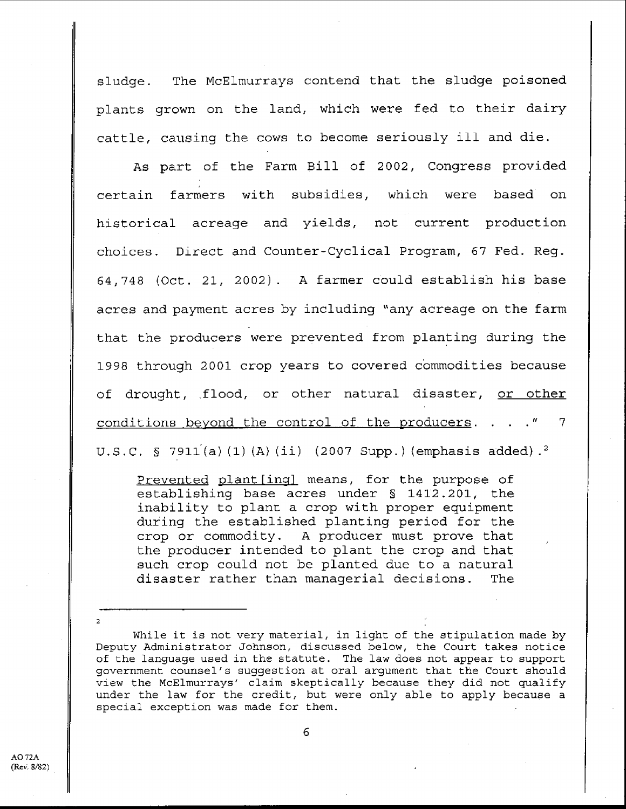sludge. The McElmurrays contend that the sludge poisoned plants grown on the land, which were fed to their dairy cattle, causing the cows to become seriously ill and die .

As part of the Farm Bill of 2002, Congress provided certain farmers with subsidies, which were based on historical acreage and yields, not current production choices. Direct and Counter-Cyclical Program, 67 Fed. Reg. 64,748 (Oct . 21, 2002) . A farmer could establish his base acres and payment acres by including "any acreage on the farm that the producers were prevented from planting during the 1998 through 2001 crop years to covered commodities because of drought, flood, or other natural disaster, or other conditions beyond the control of the producers.  $\ldots$  ." 7 <sup>U</sup> .S .C . § 7911'(a) (1) (A) (ii) (2007 Supp .) ( **emphasis added) . <sup>2</sup>**

Prevented plant [ing] means, for the purpose of establishing base acres under § 1412 .201, the inability to plant a crop with proper equipment during the established planting period for the crop or commodity . A producer must prove that the producer intended to plant the crop and that such crop could not be planted due to a natural disaster rather than managerial decisions. The

While it is not very material, in light of the stipulation made by Deputy Administrator Johnson, discussed below, the Court takes notice of the language used in the statute . The law does not appear to support government counsel's suggestion at oral argument that the Court should view the McElmurrays' claim skeptically because they did not qualify under the law for the credit, but were only able to apply **because a** special exception was made for them .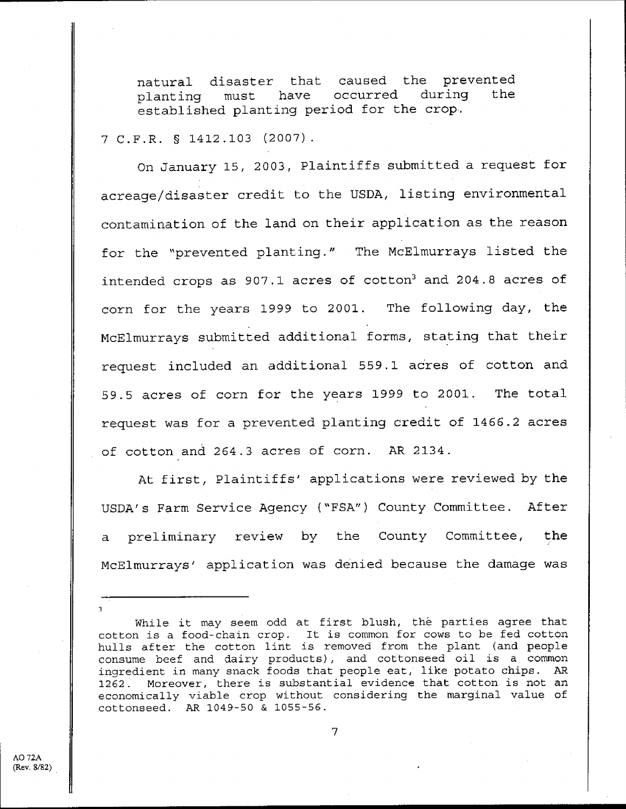natural disaster that caused the prevented<br>planting must have occurred during the planting must have occurred during the established planting period for the crop .

#### 7 C .F .R . § 1412 .103 (2007) .

On January 15, 2003, Plaintiffs submitted a request for acreage/disaster credit to the USDA, listing environmental contamination of the land on their application as the reason for the "prevented planting ." The McElmurrays listed the intended crops as 907.1 acres of cotton<sup>3</sup> and 204.8 acres of corn for the years 1999 to 2001. The following day, the McElmurrays submitted additional forms, stating that their request included an additional 559 .1 acres of cotton and 59.5 acres of corn for the years 1999 to 2001. The total request was for a prevented planting credit of 1466 .2 acres of cotton and 264.3 acres of corn. AR 2134.

At first, Plaintiffs' applications were reviewed by the USDA's Farm Service Agency ("FSA") County Committee . After a preliminary review by the County Committee, the McElmurrays' application was denied because the damage was

3

While it may seem odd at first blush, the parties agree that cotton is a food-chain crop. It is common for cows to be fed cotton hulls after the cotton lint is removed from the plant (and people consume beef and dairy products), and cottonseed oil is a common ingredient in many snack foods that people eat, like potato chips. AR 1262 . Moreover, there is substantial evidence that cotton is not an economically viable crop without considering the marginal value of cottonseed . AR 1049-SO & 1055-56 .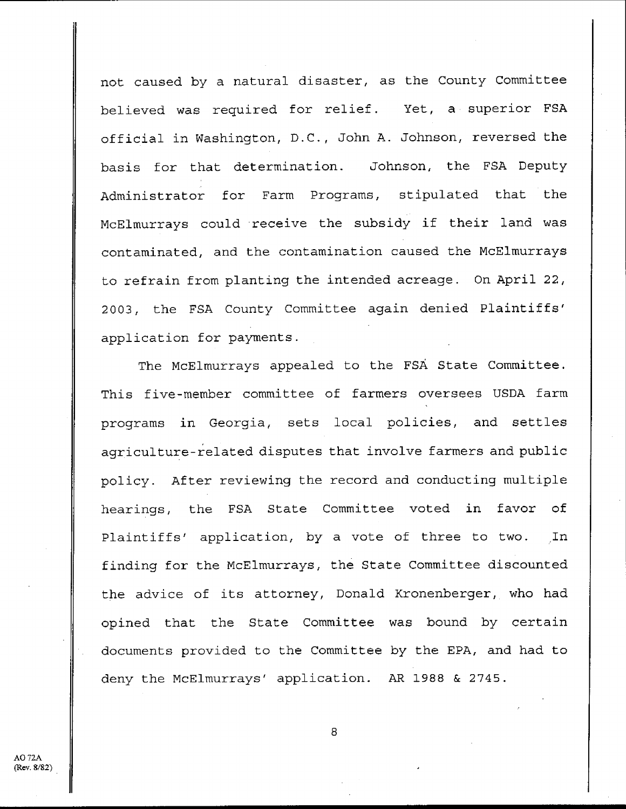not caused by a natural disaster, as the County Committee believed was required for relief. Yet, a superior FSA official in Washington, D.C., John A. Johnson, reversed the basis for that determination. Johnson, the FSA Deputy Administrator for Farm Programs, stipulated that the McElmurrays could receive the subsidy if their land was contaminated, and the contamination caused the McElmurrays to refrain from planting the intended acreage . On April 22, 2003, the FSA County Committee again denied Plaintiffs' application for payments .

The McElmurrays appealed to the FSA State Committee . This five-member committee of farmers oversees USDA farm programs in Georgia, sets local policies, and settles agriculture-related disputes that involve farmers and public policy . After reviewing the record and conducting multiple hearings, the FSA State Committee voted in favor of Plaintiffs' application, by a vote of three to two. In finding for the McElmurrays, the State Committee discounted the advice of its attorney, Donald Kronenberger, who had opined that the State Committee was bound by certain documents provided to the Committee by the EPA, and had to deny the McElmurrays' application. AR 1988 & 2745.

AO 72A (Rev. 8/82)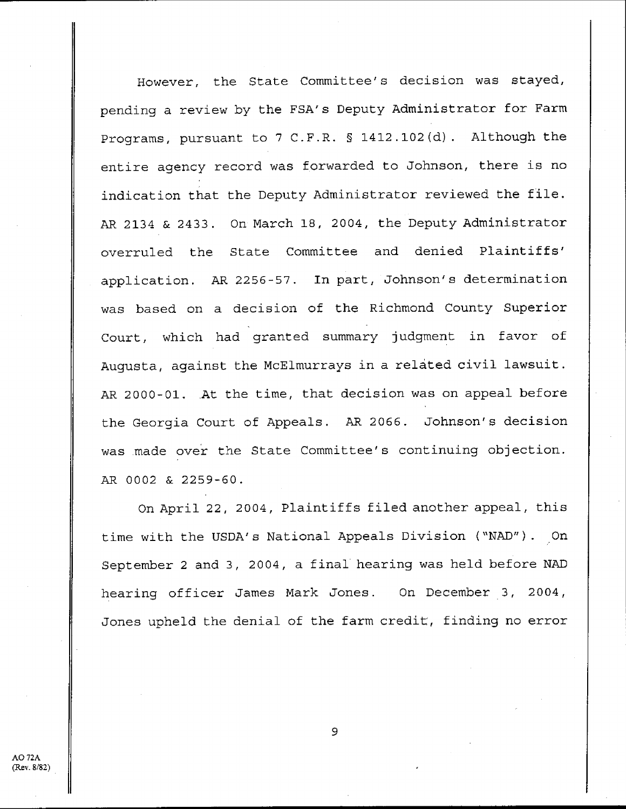However, the State Committee's decision was stayed, pending a review by the FSA's Deputy Administrator for Farm Programs, pursuant to 7 C.F.R. § 1412.102(d). Although the entire agency record was forwarded to Johnson, there is no indication that the Deputy Administrator reviewed the file . AR 2134 & 2433 . On March 18, 2004, the Deputy Administrator overruled the State Committee and denied Plaintiffs' application. AR 2256-57. In part, Johnson's determination was based on a decision of the Richmond County Superior Court, which had granted summary judgment in favor of Augusta, against the McElmurrays in a related civil lawsuit. AR 2000-01. At the time, that decision was on appeal before the Georgia Court of Appeals. AR 2066. Johnson's decision was made over the State Committee's continuing objection . AR 0002 & 2259-60 .

On April 22, 2004, Plaintiffs filed another appeal, this time with the USDA's National Appeals Division ("NAD") . On September 2 and 3, 2004, a final hearing was held before NAD hearing officer James Mark Jones. On December 3, 2004, Jones upheld the denial of the farm credit, finding no error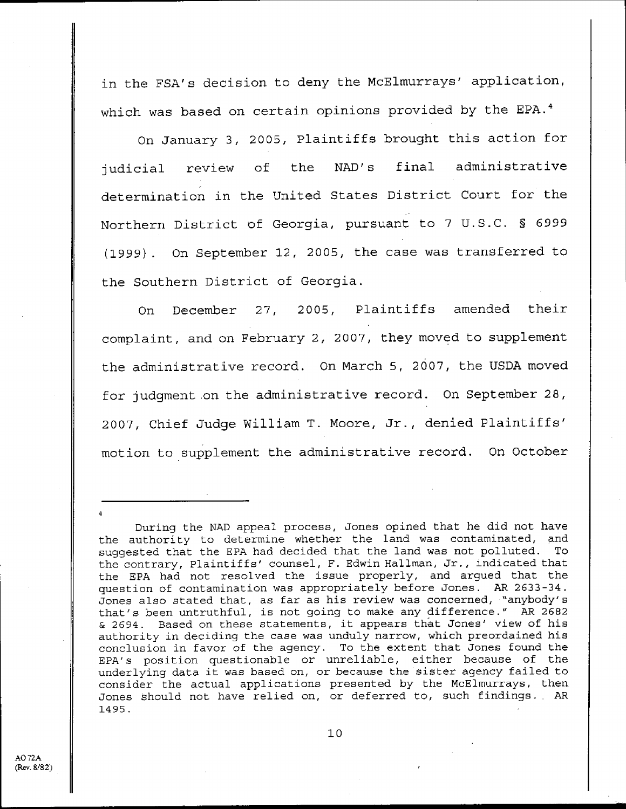in the FSA's decision to deny the McElmurrays' application, which was based on certain opinions provided by the EPA.<sup>4</sup>

On January 3, 2005, Plaintiffs brought this action for judicial review of the NAD's final administrative determination in the United States District Court for the Northern District of Georgia, pursuant to 7 U.S.C. § 6999 (1999) . On September 12, 2005, the case was transferred to the Southern District of Georgia .

On December 27, 2005, Plaintiffs amended their complaint, and on February 2, 2007, they moved to supplement the administrative record. On March 5, 2007, the USDA moved for judgment on the administrative record. On September 28, 2007, Chief Judge William T. Moore, Jr., denied Plaintiffs' motion to supplement the administrative record. On October

During the NAD appeal process, Jones opined that he did not have the authority to determine whether the land was contaminated, and<br>suggested that the EPA had decided that the land was not polluted. To suggested that the EPA had decided that the land was not polluted. the contrary, Plaintiffs' counsel, F. Edwin Hallman, Jr., indicated that the EPA had not resolved the issue properly, and argued that the question of contamination was appropriately before Jones. AR 2633-34. Jones also stated that, as far as his review was concerned, "anybody's that's been untruthful, is not going to make any difference ." AR 2682 & 2694 . Based on these statements, it appears that Jones' view of his authority in deciding the case was unduly narrow, which preordained his conclusion in favor of the agency. To the extent that Jones found the EPA's position questionable or unreliable, either because of the underlying data it was based on, or because the sister agency failed to consider the actual applications presented by the McElmurrays, then Jones should not have relied on, or deferred to, such findings. AR 1495 .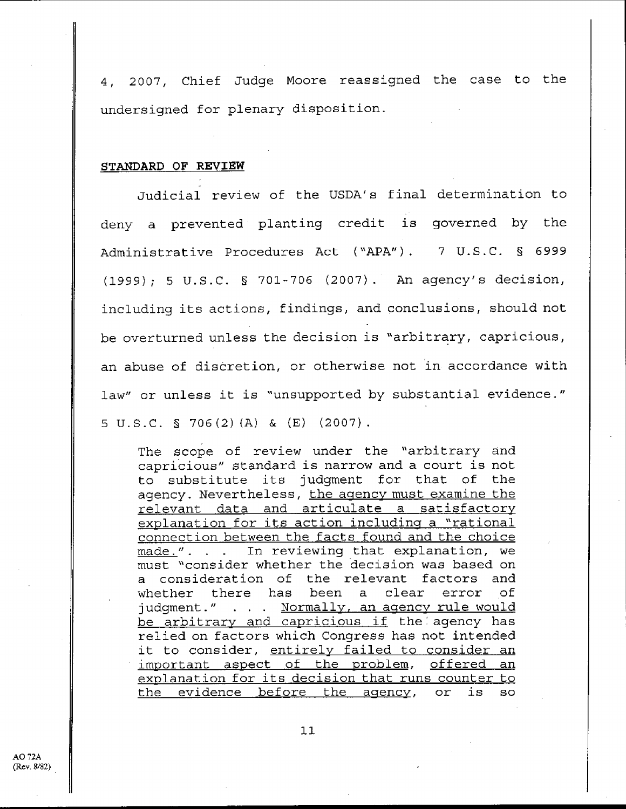4, 2007, Chief Judge **Moore reassigned** the case to the undersigned for plenary disposition .

#### **STANDARD OF REVIEW**

Judicial review of the USDA's final determination to deny a prevented planting credit is governed by the Administrative Procedures Act ("APA"). 7 U.S.C. § 6999 (1999) ; 5 U .S .C . § **701-706** (2007) . An agency's decision, including its actions, findings, and conclusions, should not be overturned unless the decision is "arbitrary, capricious, an abuse of discretion, or otherwise not in accordance with law" or unless it is "unsupported by substantial evidence."  $5 \text{ U.S.C.}$   $5 \text{ 706(2)(A)}$  &  $(E)$  (2007).

The scope of review under the "arbitrary and capricious" standard is narrow and a court is not to substitute its judgment for that of the agency. Nevertheless, the agency must examine the relevant data and articulate a satisfactory explanation for its action including a "rational connection between the facts found and the choice made.". . . In reviewing that explanation, we must "consider whether the decision was based on a consideration of the relevant factors and<br>whether there has been a clear error of whether there has been a clear error of judgment." . . . Normally, an agency rule would be arbitrary and capricious if the agency has relied on factors which Congress has not intended it to consider, entirely failed to consider an important aspect of the problem, offered an explanation for its decision that runs counter to the evidence before the agency, or is so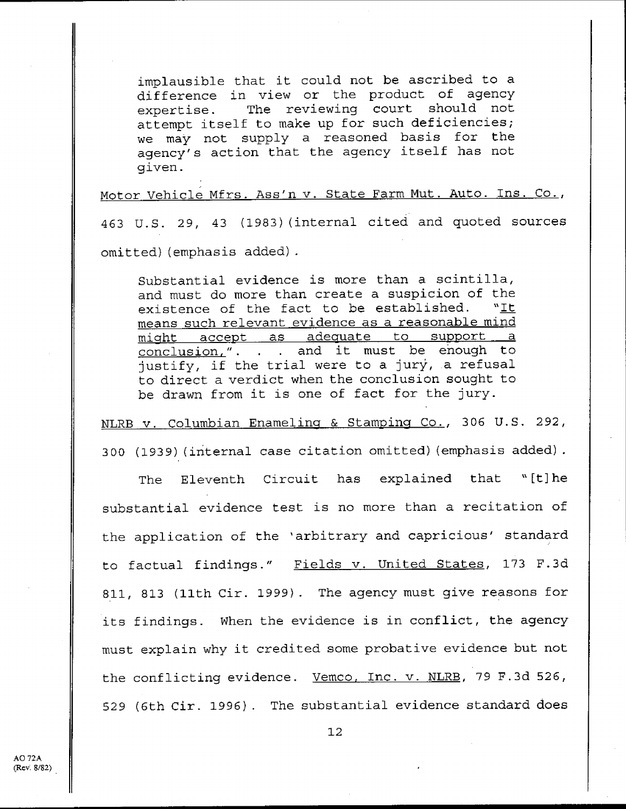implausible that it could not be ascribed to a difference in view or the product of agency expertise. The reviewing court should not attempt itself to make up for such deficiencies; we may not supply a reasoned basis for the agency's action that the agency itself has not given .

Motor Vehicle Mfrs. Ass'n v. State Farm Mut. Auto. Ins. Co.,

463 U.S. 29, 43 (1983) (internal cited and quoted sources omitted) (emphasis added) .

Substantial evidence is more than a scintilla, and must do more than create a suspicion of the existence of the fact to be established.  $"It$ means such relevant evidence as a reasonable mind might accept as adequate to support a conclusion,". . . and it must be enough to justify, if the trial were to a jury, a refusal to direct a verdict when the conclusion sought to be drawn from it is one of fact for the jury.

**NLRB v . Columbian Enamelin** & Stamping **Co** ., **306 U .S . 292, 300 (1939** ) ( **internal case citation omitted** ) ( **emphasis added) .**

**The Eleventh Circuit has explained that "[t]he substantial evidence test is no more than a recitation of the application of the** ' **arbitrary and capricious' standard to factual findings ." Fields v . United States** , **173 F .3d 811, 813** ( **11th Cir . 1999** ) . **The agency must give reasons for its findings . When the evidence** is **in** conflict, **the agency must explain** why it **credited some probative evidence but not the conflicting evidence . Vemco** , **Inc . v** . **NLRB** , **79 F .3d 526, 529 (6th Cir** . **1996** ) . **The substantial evidence standard doe s**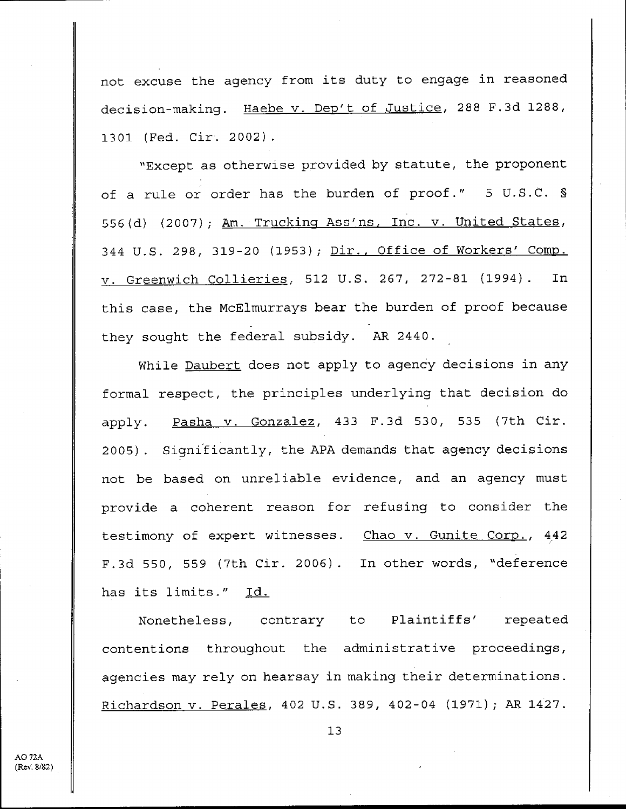not excuse the agency from its duty to engage in reasoned decision-making. Haebe v. Dep't of Justice, 288 F.3d 1288, 1301 (Fed. Cir. 2002).

"Except as otherwise provided by statute, the proponent of a rule or order has the burden of proof." 5 U.S.C. § 556(d) (2007); Am. Trucking Ass'ns, Inc. v. United States, 344 U.S. 298, 319-20 (1953); Dir., Office of Workers' Comp. v. Greenwich Collieries, 512 U.S. 267, 272-81 (1994). In this case, the McElmurrays bear the burden of proof because they sought the federal subsidy. AR 2440.

While Daubert does not apply to agency decisions in any formal respect, the principles underlying that decision do apply. Pasha v. Gonzalez, 433 F.3d 530, 535 (7th Cir. 2005) . Significantly, the APA demands that agency decisions not be based on unreliable evidence, and an agency must provide a coherent reason for refusing to consider the testimony of expert witnesses. Chao v. Gunite Corp., 442 F.3d 550, 559 (7th Cir. 2006). In other words, "deference has its limits." Id.

Nonetheless, contrary to Plaintiffs' repeated contentions throughout the administrative proceedings, agencies may rely on hearsay in making their determinations . Richardson v. Perales, 402 U.S. 389, 402-04 (1971); AR 1427.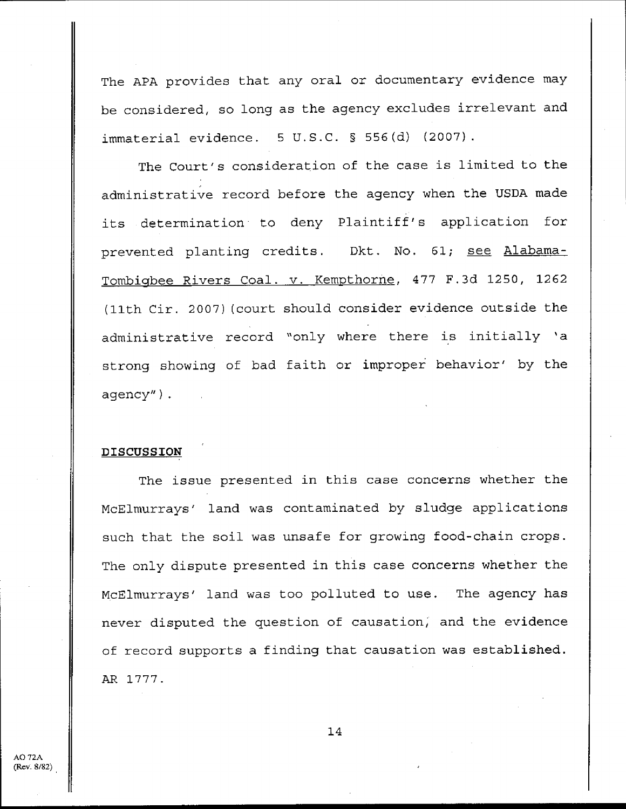**The APA provides that any oral or documentary evidence may** be considered, so long as the agency excludes irrelevant and **immaterial evidence** . **5 U .S .C . § 556(d** ) ( **2007) .**

**The Court's consideration of the case is limited to the administrative record before the agency when the USDA made its determination to deny Plaintiff** ' **s application for prevented planting credits . Dkt** . **No . 61** ; **see** Alabama-Tombigbee **Rivers Coal** . **v .** Kempthorne, **477 F .3d 1250, 1262** (11th **Cir . 2007** )( **court should consider evidence outside the administrative record** " **only where there is initially 'a strong showing of bad faith or improper behavior' by the agency") .**

#### **DISCUSSION**

The issue presented in this case concerns whether the McElmurrays' land was contaminated by sludge applications such that the soil was unsafe for growing food-chain crops . The only dispute presented in this case concerns whether the McElmurrays' land was too polluted to use. The agency has never disputed the question of causation, and the evidence of record supports a finding that causation was established . AR 1777 .

 $AO72A$ (Rev. 8/82)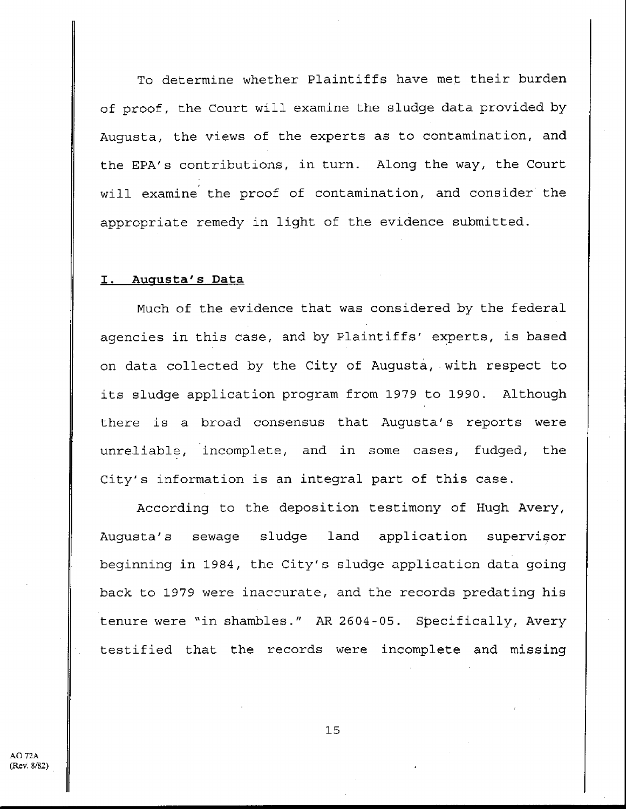To determine whether Plaintiffs have met their burden of proof, the Court will examine the sludge data provided by Augusta, the views of the experts as to contamination, and the EPA's contributions, in turn. Along the way, the Court will examine the proof of contamination, and consider the appropriate remedy in light of the evidence submitted .

#### **<sup>I</sup> . Augusta's Data**

Much of the evidence that was considered by the federal agencies in this case, and by Plaintiffs' experts, is based on data collected by the City of Augusta, with respect to its sludge application program from 1979 to 1990. Although there is a broad consensus that Augusta's reports were unreliable, incomplete, and in some cases, fudged, the City's information is an integral part of this case .

According to the deposition testimony of Hugh Avery, Augusta's sewage sludge land application supervisor beginning in 1984, the City's sludge application data going back to 1979 were inaccurate, and the records predating his tenure were "in shambles ." AR 2604-05 . Specifically, Avery testified that the records were incomplete and missing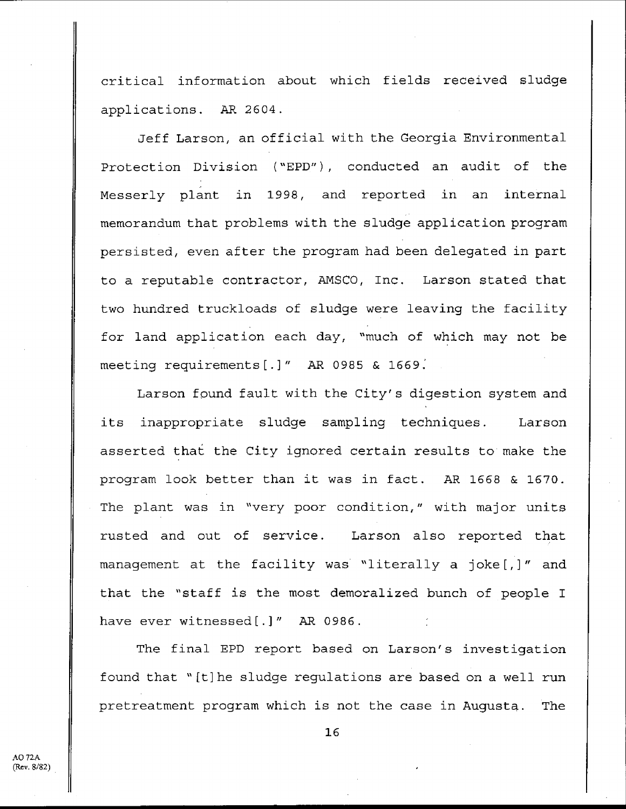critical information about which fields received sludge applications. AR 2604.

Jeff Larson, an official with the Georgia Environmental Protection Division ("EPD"), conducted an audit of the Messerly plant in 1998, and reported in an internal memorandum that problems with the sludge application program persisted, even after the program had been delegated in part to a reputable contractor, AMSCO, Inc. Larson stated that two hundred truckloads of sludge were leaving the facility for land application each day, "much of which may not be meeting requirements[.]" AR 0985 & 1669.

Larson found fault with the City's digestion system and its inappropriate sludge sampling techniques. Larson asserted that the City ignored certain results to make the program look better than it was in fact. AR 1668 & 1670. The plant was in "very poor condition," with major units rusted and out of service. Larson also reported that management at the facility was "literally a joke[,]" and that the "staff is the most demoralized bunch of people I have ever witnessed[.]" AR 0986.

The final EPD report based on Larson's investigation found that " [t] he sludge regulations are based on a well run pretreatment program which is not the case in Augusta. The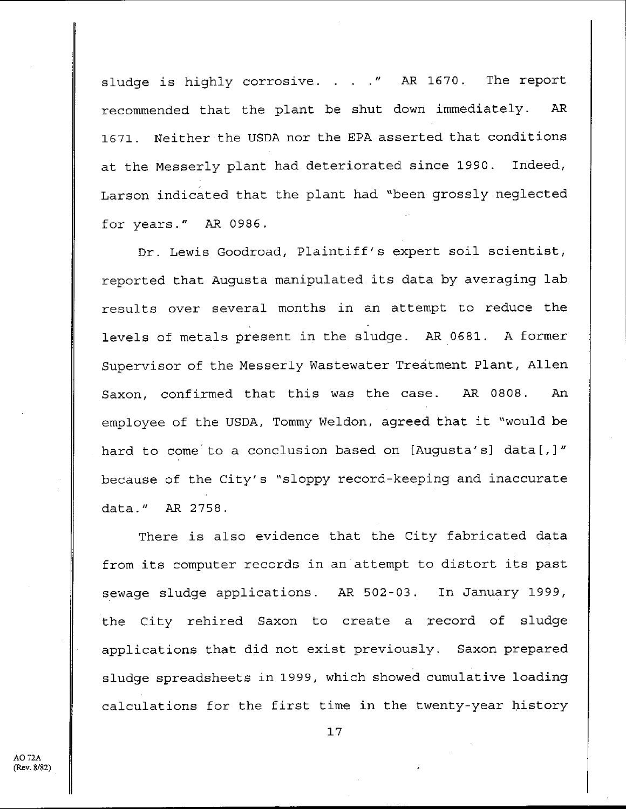sludge is highly corrosive. . . . " AR 1670. The report recommended that the plant be shut down immediately. AR 1671 . Neither the USDA nor the EPA asserted that conditions at the Messerly plant had deteriorated since 1990 . Indeed, Larson indicated that the plant had "been grossly neglected for years ." AR 0986 .

Dr. Lewis Goodroad, Plaintiff's expert soil scientist, reported that Augusta manipulated its data by averaging lab results over several months in an attempt to reduce the levels of metals present in the sludge. AR 0681. A former Supervisor of the Messerly Wastewater Treatment Plant, Allen Saxon, confirmed that this was the case. AR 0808. An employee of the USDA, Tommy Weldon, agreed that it "would be hard to come to a conclusion based on [Augusta's] data[,]" because of the City's "sloppy record-keeping and inaccurate data ." AR 2758 .

There is also evidence that the City fabricated data from its computer records in an attempt to distort its past sewage sludge applications. AR 502-03. In January 1999, the City rehired Saxon to create a record of sludge applications that did not exist previously. Saxon prepared sludge spreadsheets in 1999, which showed cumulative loading calculations for the first time in the twenty-year history

AO 72A  $(Rev. 8/82)$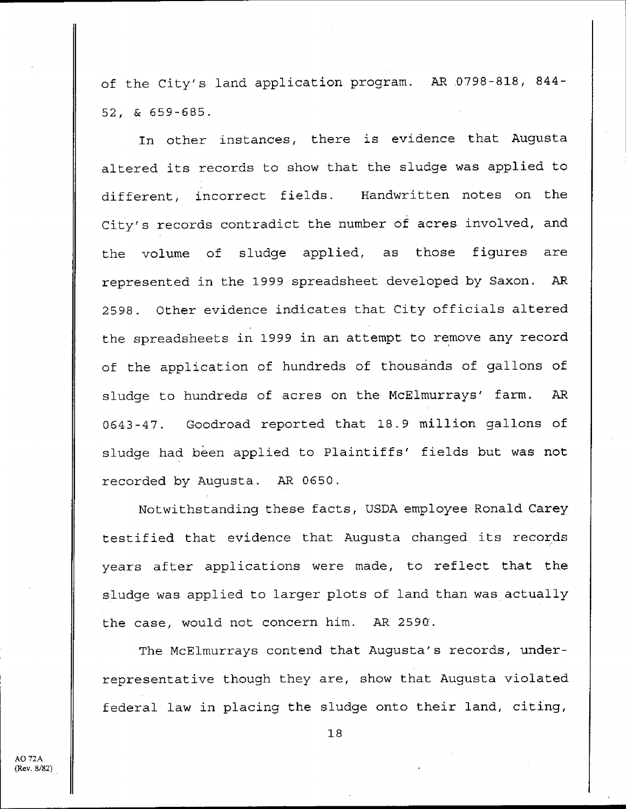of the City's land application program. AR 0798-818, 844-52, & 659-685 .

In other instances, there is evidence that Augusta altered its records to show that the sludge was applied to different, incorrect fields. Handwritten notes on the City's records contradict the number of acres involved, and the volume of sludge applied, as those figures are represented in the 1999 spreadsheet developed by Saxon. AR 2598 . Other evidence indicates that City officials altered the spreadsheets in 1999 in an attempt to remove any record of the application of hundreds of thousands of gallons of sludge to hundreds of acres on the McElmurrays' farm. AR 0643-47 . Goodroad reported that 18 .9 million gallons of sludge had been applied to Plaintiffs' fields but was not recorded by Augusta. AR 0650.

Notwithstanding these facts, USDA employee Ronald Carey testified that evidence that Augusta changed its records years after applications were made, to reflect that the sludge was applied to larger plots of land than was actually the case, would not concern him. AR 2590.

The McElmurrays contend that Augusta's records, underrepresentative though they are, show that Augusta violated federal law in placing the sludge onto their land, citing,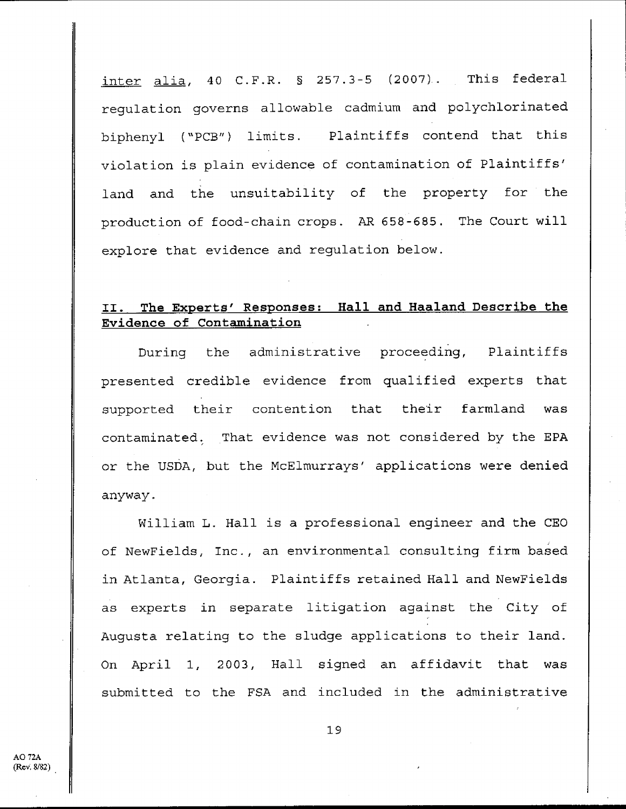inter alia, 40 C.F.R.  $\S$  257.3-5 (2007). This federal regulation governs allowable cadmium and polychlorinated biphenyl ("PCB") limits . Plaintiffs contend that this violation is plain evidence of contamination of Plaintiffs' land and the unsuitability of the property for the production of food-chain crops . AR 658-685 . The Court will explore that evidence and regulation below.

### **II . The** Experts' Responses : **Hall and Haaland Describe the Evidence of Contamination**

During the administrative proceeding, Plaintiffs presented credible evidence from qualified experts that supported their contention that their farmland was contaminated. That evidence was not considered by the EPA or the USDA, but the McElmurrays' applications were denied anyway .

William L. Hall is a professional engineer and the CEO of NewFields, Inc ., an environmental consulting firm based in Atlanta, Georgia. Plaintiffs retained Hall and NewFields as experts in separate litigation against the City of Augusta relating to the sludge applications to their land. On April 1, 2003, Hall signed an affidavit that was submitted to the FSA and included in the administrative

 $AO$  72A  $(Rev. 8/82)$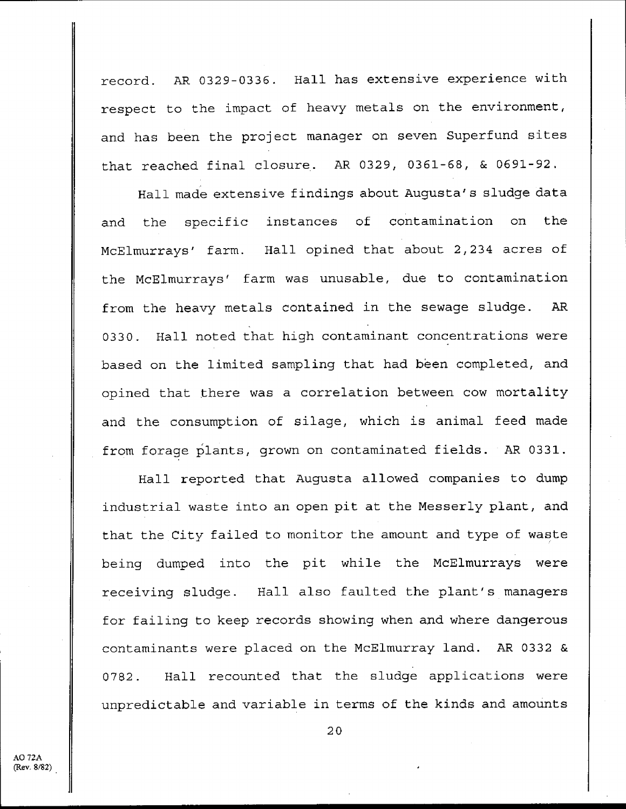record. AR 0329-0336. Hall has extensive experience with respect to the impact of heavy metals on the environment, and has been the project manager on seven Superfund sites that reached final closure. AR 0329, 0361-68, & 0691-92.

Hall made extensive findings about Augusta's sludge data and the specific instances of contamination on the McElmurrays' farm. Hall opined that about 2,234 acres of the McElmurrays' farm was unusable, due to contamination from the heavy metals contained in the sewage sludge. AR 0330. Hall noted that high contaminant concentrations were based on the limited sampling that had been completed, and opined that there was a correlation between cow mortality and the consumption of silage, which is animal feed made from forage plants, grown on contaminated fields. AR 0331.

Hall reported that Augusta allowed companies to dump industrial waste into an open pit at the Messerly plant, and that the City failed to monitor the amount and type of waste being dumped into the pit while the McElmurrays were receiving sludge. Hall also faulted the plant's managers for failing to keep records showing when and where dangerous contaminants were placed on the McElmurray land. AR 0332 & 0782. Hall recounted that the sludge applications were unpredictable and variable in terms of the kinds and amounts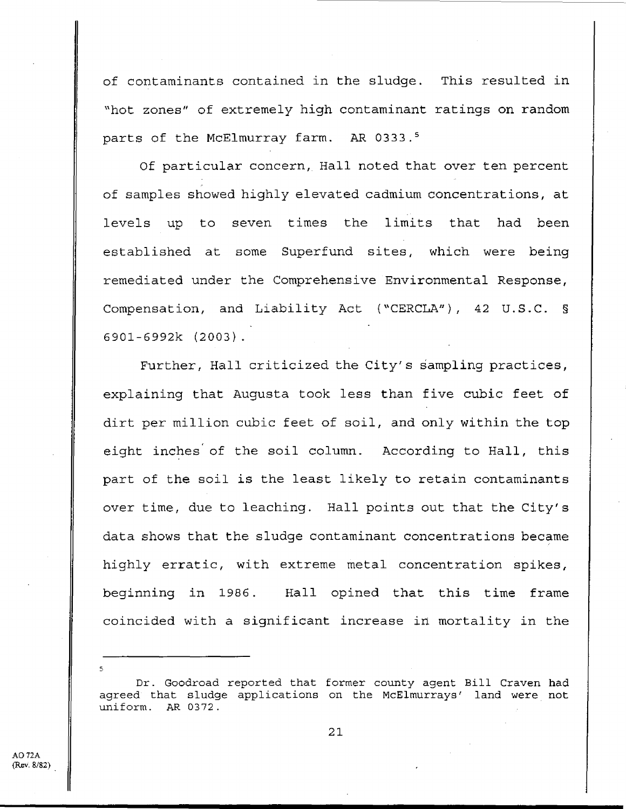of contaminants contained in the sludge. This resulted in "hot zones" of extremely high contaminant ratings on random parts of the McElmurray farm. AR 0333.<sup>5</sup>

Of particular concern, Hall noted that over ten percent of samples showed highly elevated cadmium concentrations, at levels up to seven times the limits that had been established at some Superfund sites, which were being remediated under the Comprehensive Environmental Response, Compensation, and Liability Act ("CERCLA"), 42 U.S.C. § 6901-6992k (2003) .

Further, Hall criticized the City's sampling practices, explaining that Augusta took less than five cubic feet of dirt per million cubic feet of soil, and only within the top eight inches of the soil column. According to Hall, this part of the soil is the least likely to retain contaminants over time, due to leaching. Hall points out that the City's data shows that the sludge contaminant concentrations became highly erratic, with extreme metal concentration spikes, beginning in 1986. Hall opined that this time frame coincided with a significant increase in mortality in the

Dr . Goodroad reported that former county agent Bill Craven had agreed that sludge applications on the McElmurrays' land were not uniform. AR 0372.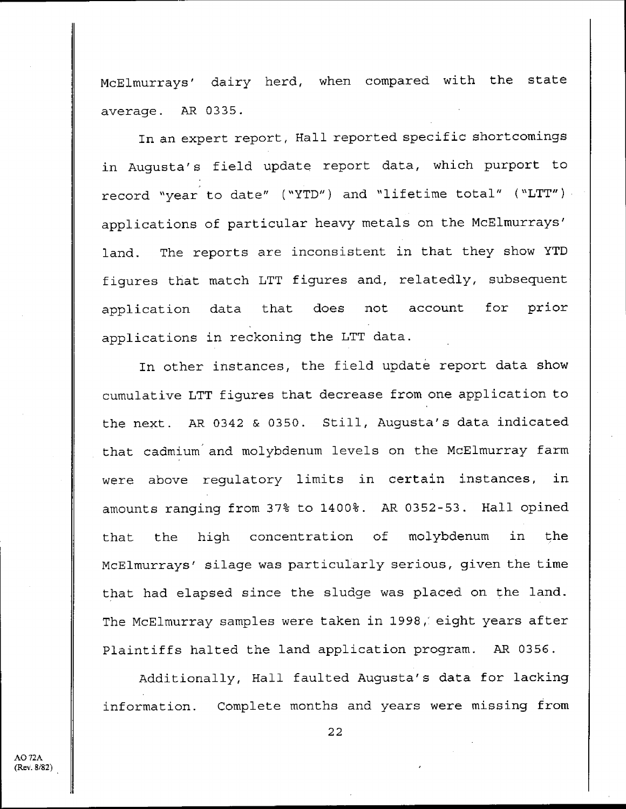McElmurrays' dairy herd, when compared with the state average. AR 0335.

In an expert report, Hall reported specific shortcomings in Augusta's field update report data, which purport to record "year to date" ("YTD") and "lifetime total" ("LTT") applications of particular heavy metals on the McElmurrays' land. The reports are inconsistent in that they show YTD figures that match LTT figures and, relatedly, subsequent application data that does not account for prior applications in reckoning the LTT data .

In other instances, the field update report data show cumulative LTT figures that decrease from one application to the next. AR 0342 & 0350. Still, Augusta's data indicated that cadmium and molybdenum levels on the McElmurray farm were above regulatory limits in certain instances, in amounts ranging from 37% to 1400% . AR 0352-53 . Hall opined that the high concentration of molybdenum in the McElmurrays' silage was particularly serious, given the time that had elapsed since the sludge was placed on the land. The McElmurray samples were taken in 1998,' eight years after Plaintiffs halted the land application program. AR 0356.

Additionally, Hall faulted Augusta's data for lacking information. Complete months and years were missing from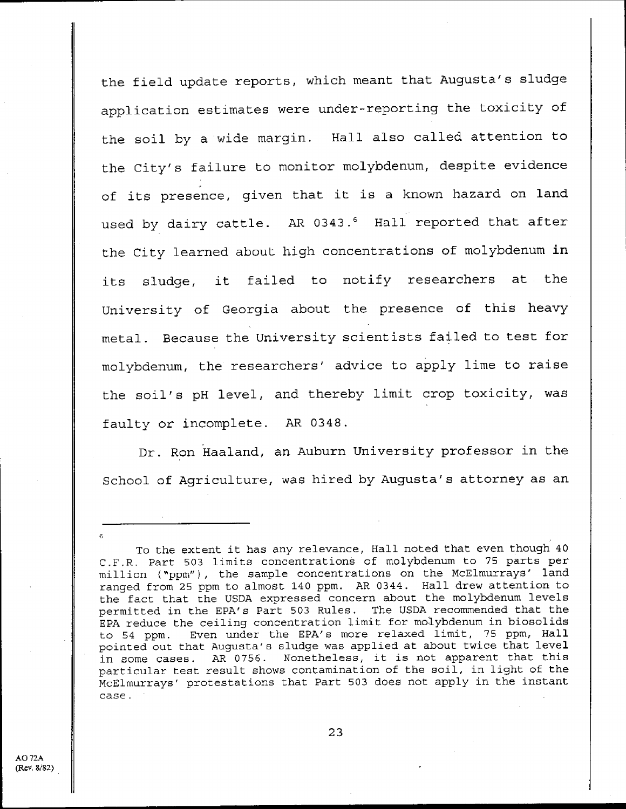the field update reports, which meant that Augusta's sludge application estimates were under-reporting the toxicity of the soil by a wide margin. Hall also called attention to the City's failure to monitor molybdenum, despite evidence of its presence, given that it is a known hazard on land used by dairy cattle. AR 0343.<sup>6</sup> Hall reported that after the City learned about high concentrations of molybdenum in its sludge, it failed to notify researchers at the University of Georgia about the presence of this heavy metal. Because the University scientists failed to test for molybdenum, the researchers' advice to apply lime to raise the soil's pH level, and thereby limit crop toxicity, was faulty or incomplete. AR 0348.

Dr. Ron Haaland, an Auburn University professor in the School of Agriculture, was hired by Augusta's attorney as an

23

To the extent it has any relevance, Hall noted that even though 40 <sup>C</sup> .F .R . Part 503 limits concentrations of molybdenum to 75 parts per million ('ppm"), the sample concentrations on the McElmurrays' land ranged from 25 ppm to almost 140 ppm. AR 0344. Hall drew attention to the fact that the USDA expressed concern about the molybdenum levels permitted in the EPA's Part 503 Rules . The USDA recommended that the EPA reduce the ceiling concentration limit for molybdenum in biosolids to 54 ppm. Even under the EPA's more relaxed limit, 75 ppm, Hall pointed out that Augusta's sludge was applied at about twice that level in some cases . AR 0756 . Nonetheless, it is not apparent that this particular test result shows contamination of the soil, in light of the McElmurrays' protestations that Part 503 does not apply in the instant case .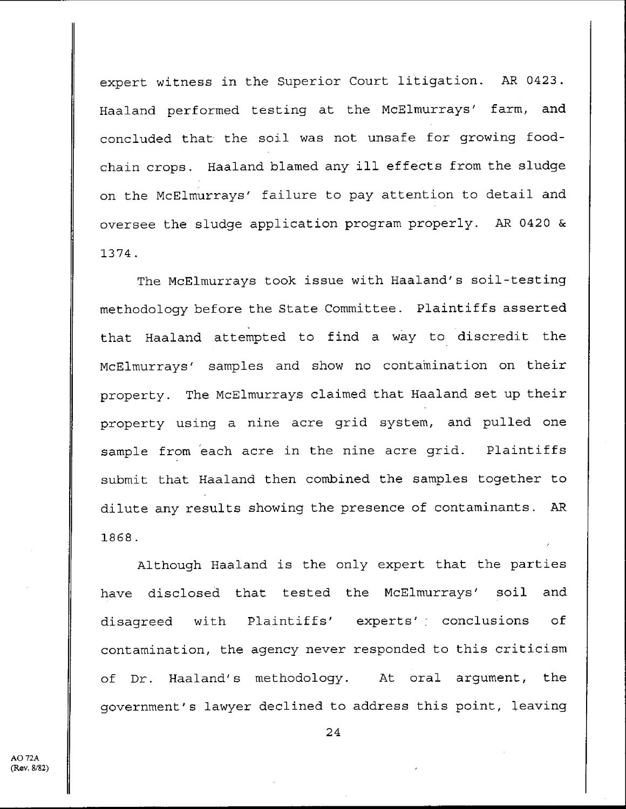expert witness in the Superior Court litigation. AR 0423. Haaland performed testing at the McElmurrays' farm, and concluded that the soil was not unsafe for growing foodchain crops. Haaland blamed any ill effects from the sludge on the McElmurrays' failure to pay attention to detail and oversee the sludge application program properly. AR 0420 & 1374 .

The McElmurrays took issue with Haaland's soil-testing methodology before the State Committee . Plaintiffs asserted that Haaland attempted to find a way to discredit the McElmurrays' samples and show no contamination on their property. The McElmurrays claimed that Haaland set up their property using a nine acre grid system, and pulled one sample from each acre in the nine acre grid. Plaintiffs submit that Haaland then combined the samples together to dilute any results showing the presence of contaminants . AR 1868 .

Although Haaland is the only expert that the parties have disclosed that tested the McElmurrays' soil and disagreed with Plaintiffs' experts' conclusions of contamination, the agency never responded to this criticism of Dr . Haaland's methodology . At oral argument, the government's lawyer declined to address this point, leaving

AO 72A (Rev. 8/82)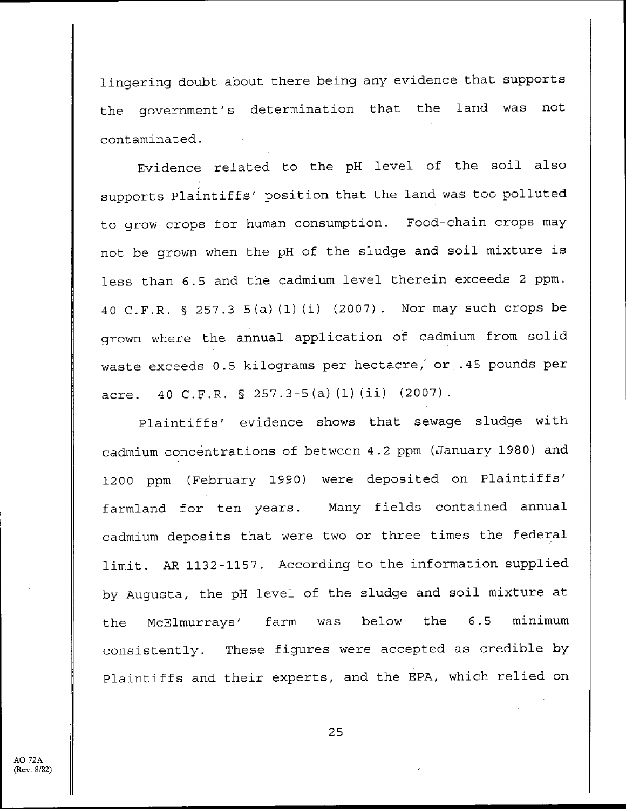lingering doubt about there being any evidence that supports the government's determination that the land was not contaminated .

Evidence related to the pH level of the soil also supports Plaintiffs' position that the land was too polluted to grow crops for human consumption. Food-chain crops may not be grown when the pH of the sludge and soil mixture is less than 6 .5 and the cadmium level therein exceeds 2 ppm . 40 C .F .R . § 257 .3-5(a) (1) (i) (2007) . Nor may such crops be grown where the annual application of cadmium from solid waste exceeds 0.5 kilograms per hectacre, or .45 pounds per acre. 40 C.F.R. § 257.3-5(a)(1)(ii) (2007).

Plaintiffs' evidence shows that sewage sludge with cadmium concentrations of between 4.2 ppm (January 1980) and 1200 ppm (February 1990) were deposited on Plaintiffs' farmland for ten years. Many fields contained annual cadmium deposits that were two or three times the federal limit. AR 1132-1157. According to the information supplied by Augusta, the pH level of the sludge and soil mixture at the McElmurrays' farm was below the 6 .5 minimum consistently. These figures were accepted as credible by Plaintiffs and their experts, and the EPA, which relied on

AO 72A  $\text{Re}v$   $8/82$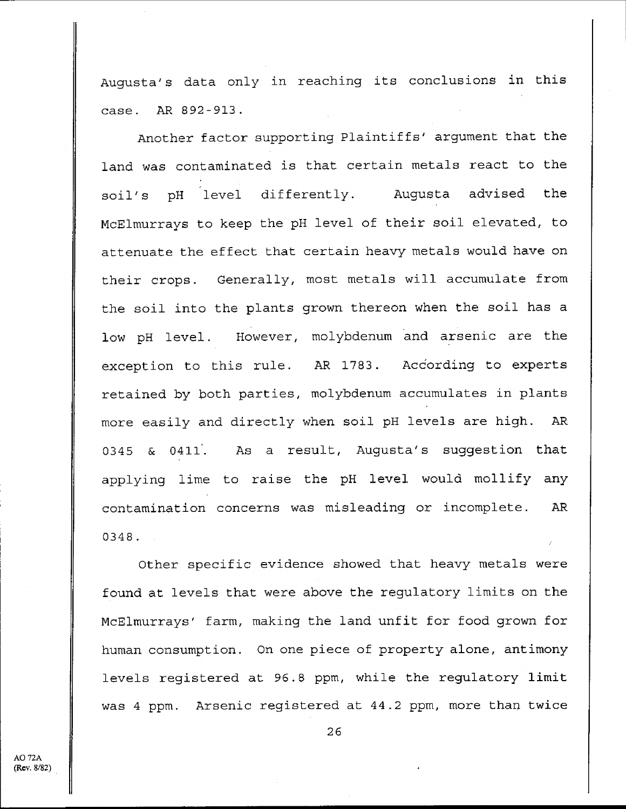Augusta's data only in reaching its conclusions in this case . AR 892-913 .

Another factor supporting Plaintiffs' argument that the land was contaminated is that certain metals react to the soil's pH level differently. Augusta advised the McElmurrays to keep the pH level of their soil elevated, to attenuate the effect that certain heavy metals would have on their crops. Generally, most metals will accumulate from the soil into the plants grown thereon when the soil has a **low pH level . However** , **molybdenum and arsenic are the exception to this rule** . **AR 1783** . **According to experts retained by both parties** , **molybdenum accumulates in plants more easily and directly when soil pH levels are high . AR 0345** & 0411. **As a result** , **Augusta's suggestion that applying lime to raise the pH level would mollify any contamination concerns was misleading or incomplete . AR 0348 .**

Other specific evidence showed that heavy metals were found at levels that were above the regulatory limits on the McElmurrays' farm, making the land unfit for food grown for human consumption. On one piece of property alone, antimony levels registered at 96 .8 ppm, while the regulatory limit was 4 ppm. Arsenic registered at 44.2 ppm, more than twice

AO 72A (Rev. 8/82)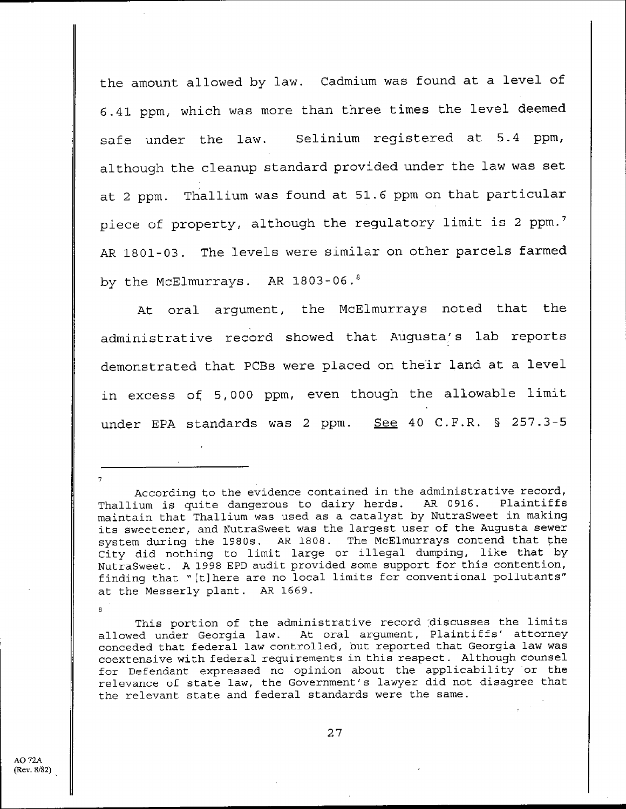the amount allowed by law. Cadmium was found at a level of <sup>6</sup> .41 ppm, which was more than three times the level deemed safe under the law. Selinium registered at 5.4 ppm, although the cleanup standard provided under the law was set at 2 ppm. Thallium was found at 51.6 ppm on that particular piece of property, although the regulatory limit is 2 ppm.<sup>7</sup> AR 1801-03. The levels were similar on other parcels farmed by the McElmurrays. AR 1803-06.8

At oral argument, the McElmurrays noted that the administrative record showed that Augusta's lab reports demonstrated that PCBs were placed on their land at a level in excess of 5,000 ppm, even though the allowable limit under EPA standards was 2 ppm. See 40 C.F.R. § 257.3-5

This portion of the administrative record discusses the limits allowed under Georgia law. At oral argument, Plaintiffs' attorney conceded that federal law controlled, but reported that Georgia law was coextensive with federal requirements in this respect . Although counsel for Defendant expressed no opinion about the applicability or the relevance of state law, the Government's lawyer did not disagree that the relevant state and federal standards were the same .

7

a

According to the evidence contained in the administrative record,<br>ium is quite dangerous to dairy herds. AR 0916. Plaintiffs Thallium is quite dangerous to dairy herds. AR 0916. maintain that Thallium was used as a catalyst by NutraSweet in making its sweetener, and NutraSweet was the largest user of the Augusta sewer system during the 1980s. AR 1808. The McElmurrays contend that the City did nothing to limit large or illegal dumping, like that by NutraSweet . A 1998 EPD audit provided some support for this contention, finding that "[t]here are no local limits for conventional pollutants" at the Messerly plant. AR 1669.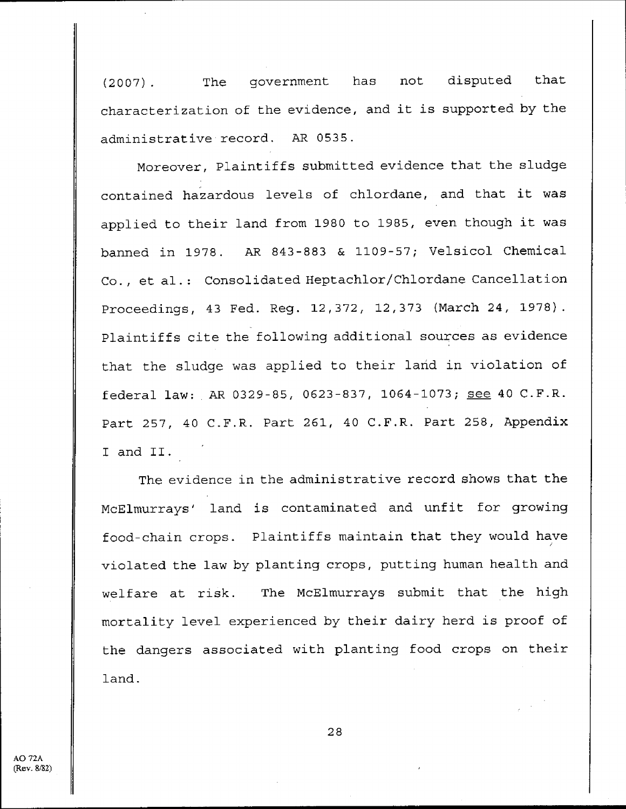(2007) . The government has not disputed that characterization of the evidence, and it is supported by the administrative record. AR 0535.

Moreover, Plaintiffs submitted evidence that the sludge contained hazardous levels of chlordane, and that it was applied to their land from 1980 to 1985, even though it was banned in 1978 . AR 843-883 & 1109-57 ; Velsicol Chemical Co., et al.: Consolidated Heptachlor/Chlordane Cancellation Proceedings, 43 Fed. Reg. 12,372, 12,373 (March 24, 1978). Plaintiffs cite the following additional sources as evidence that the sludge was applied to their land in violation of federal law: AR 0329-85, 0623-837, 1064-1073; see 40 C.F.R. Part 257, 40 C.F.R. Part 261, 40 C.F.R. Part 258, Appendix I and II .

The evidence in the administrative record shows that the McElmurrays' land is contaminated and unfit for growing food-chain crops. Plaintiffs maintain that they would have violated the law by planting crops, putting human health and welfare at risk. The McElmurrays submit that the high mortality level experienced by their dairy herd is proof of the dangers associated with planting food crops on their land.

AO 72A (Rev. 8/82)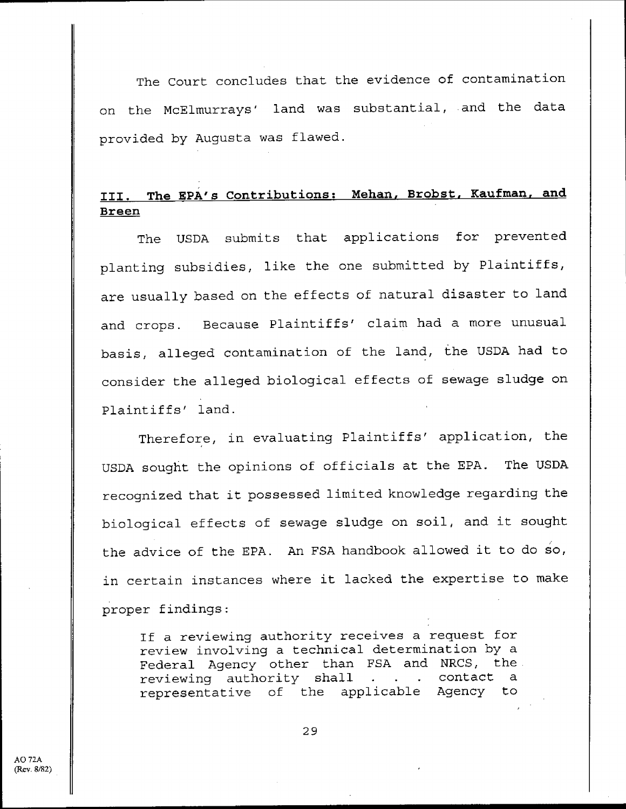The court concludes that the evidence of contamination on the McElmurrays' land was substantial, and the data provided by Augusta was flawed .

## III. The EPA's Contributions: Mehan, Brobst, Kaufman, and **Breen**

The USDA submits that applications for prevented planting subsidies, like the one submitted by Plaintiffs, are usually based on the effects of natural disaster to land and crops. Because Plaintiffs' claim had a more unusual basis, alleged contamination of the land, the USDA had to consider the alleged biological effects of sewage sludge on Plaintiffs' land .

Therefore, in evaluating Plaintiffs' application, the USDA sought the opinions of officials at the EPA. The USDA recognized that it possessed limited knowledge regarding the biological effects of sewage sludge on soil, and it sought the advice of the EPA. An FSA handbook allowed it to do so, in certain instances where it lacked the expertise to make proper findings :

If a reviewing authority receives a request for review involving a technical determination by a Federal Agency other than FSA and NRCS, the . reviewing authority shall . . . contact a representative of the applicable Agency to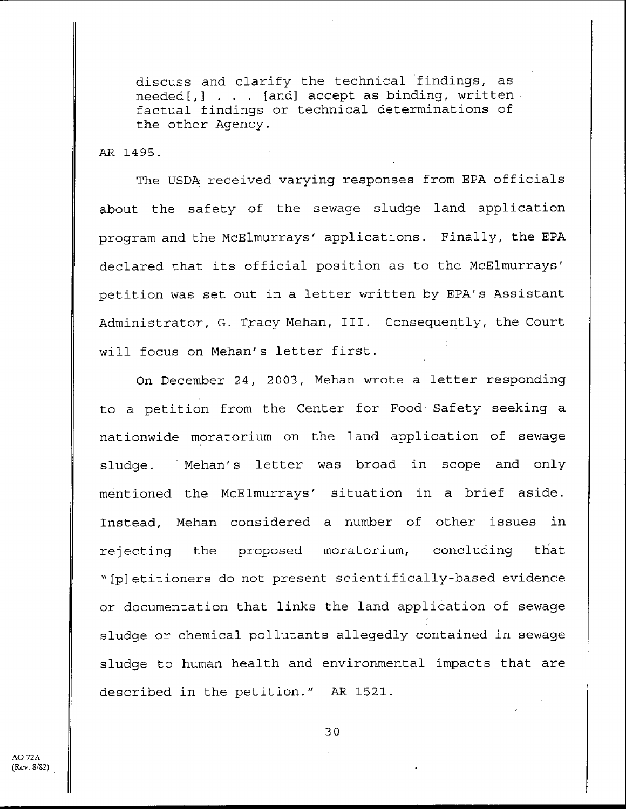discuss and clarify the technical findings, as **needed[,] . . .** [ **and] accept as binding** , written **factual findings or technical determinations of** the other Agency .

AR 1495 .

**The USDA received varying responses from EPA officials about the safety of the sewage sludge land application program and the McElmurrays** ' **applications** . **Finally, the EPA declared that its official position as to the McElmurrays'** petition **was set** out in a letter written by EPA' **s Assistant** Administrator, G. Tracy Mehan, III. Consequently, the Court will focus on Mehan's letter first.

**On December 24, 2003** , **Mehan wrote a letter responding** to a petition from the Center for Food, Safety seeking a **nationwide moratorium on the land application of sewage** sludge. Mehan's letter was broad in scope and only **mentioned the McElmurrays** ' **situation in a brief aside . Instead, Mehan considered a number of other issues in rejecting the proposed moratorium, concluding that "[p]etitioners do not present scientifically-based evidence or documentation that links the land application of sewage** sludge or chemical pollutants allegedly contained **in sewage sludge to human health and environmental impacts that are** described in the petition." AR 1521.

 $AO$  72A (Rev. 8/82)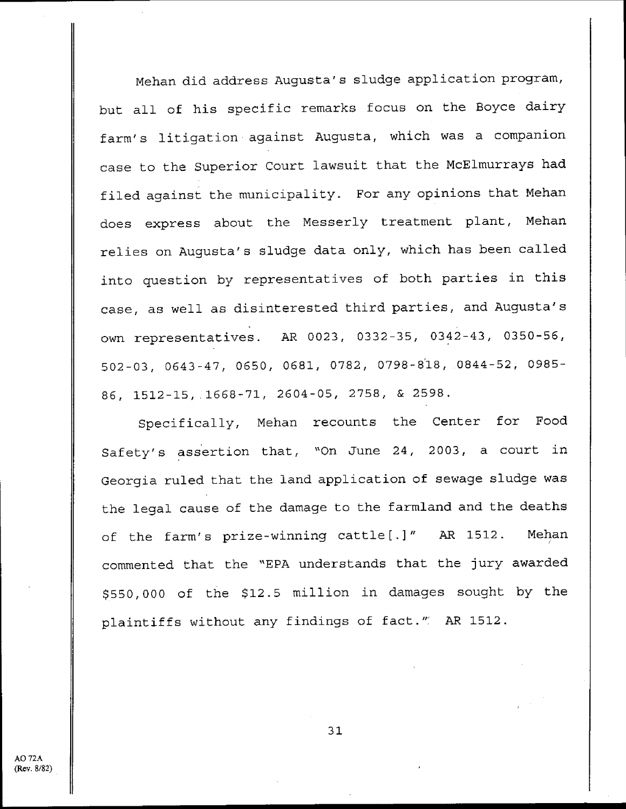Mehan did address Augusta's sludge application program, but all of his specific remarks focus on the Boyce dairy farm's litigation against Augusta, which was a companion case to the Superior Court lawsuit that the McElmurrays had filed against the municipality. For any opinions that Mehan does express about the Messerly treatment plant, Mehan relies on Augusta's sludge data only, which has been called into question by representatives of both parties in this case, as well as disinterested third parties, and Augusta's own representatives. AR 0023, 0332-35, 0342-43, 0350-56, 502-03, 0643-47, 0650, 0681, 0782, **0798-818,** 0844-52, 0985- 86, 1512-15, .1668-71, 2604-05, 2758, & 2598 .

Specifically, Mehan recounts the Center for Food Safety's assertion that, "On June 24, 2003, a court in Georgia ruled that the land application of sewage sludge was the legal cause of the damage to the farmland and the deaths of the farm's prize-winning cattle[ .]" AR 1512 . Mehan commented that the "EPA understands that the jury awarded \$550,000 of the \$12 .5 million in damages sought by the plaintiffs without any findings of fact." AR 1512.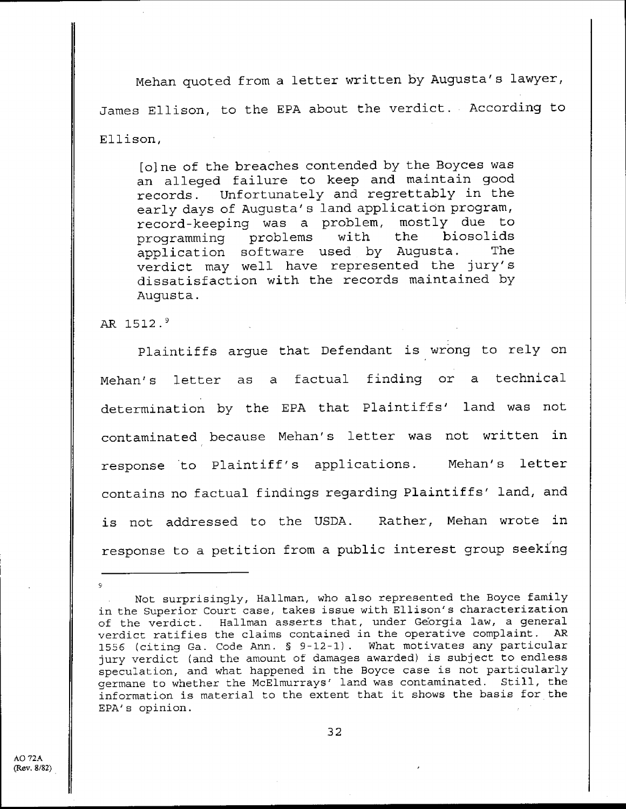Mehan quoted from a letter written by Augusta's lawyer, James Ellison, to the EPA about the verdict . According to Ellison ,

[o]ne of the breaches contended by the Boyces was an alleged failure to keep and maintain good records . Unfortunately and regrettably in the early days of Augusta's land application program, record-keeping was a problem, mostly due to<br>programming problems with the biosolids programming problems with application software used by Augusta. The verdict may well have represented the jury's dissatisfaction with the records maintained by Augusta .

AR **1512 . <sup>9</sup>**

9

Plaintiffs argue that Defendant is wrong to rely on Mehan's letter as a factual finding or a technical determination by the EPA that Plaintiffs' land was not contaminated because Mehan's letter was not written in response to Plaintiff's applications. Mehan's letter contains no factual findings regarding Plaintiffs' land, and is not addressed to the USDA. Rather, Mehan wrote in response to a petition from a public interest group seeking

Not surprisingly, Hallman, who also represented the Boyce family in the Superior Court case, takes issue with Ellison's characterization of the verdict. Hallman asserts that, under Georgia law, a general<br>verdict ratifies the claims contained in the operative complaint. AR verdict ratifies the claims contained in the operative complaint. 1556 (citing Ga. Code Ann. § 9-12-1). What motivates any particular jury verdict (and the amount of damages awarded) is subject to endless speculation, and what happened in the Boyce case is not particularly germane to whether the McElmurrays' land was contaminated . Still, the information is material to the extent that it shows the basis for the EPA's opinion .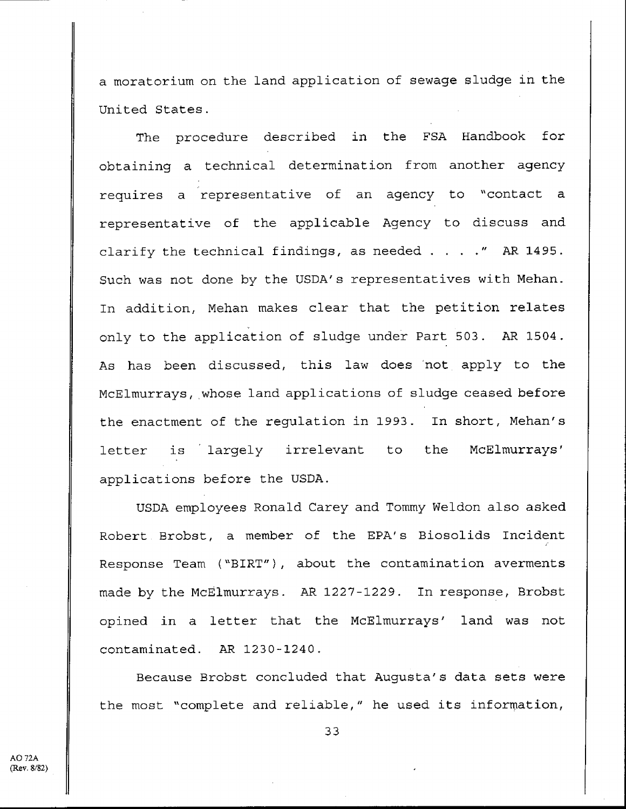a moratorium on the land application of sewage sludge in the United States .

The procedure described in the FSA Handbook for obtaining a technical determination from another agency requires a representative of an agency to "contact representative of the applicable Agency to discuss and clarify the technical findings, as needed . . . ." AR 1495 . Such was not done by the USDA's representatives with Mehan . In addition, Mehan makes clear that the petition relates only to the application of sludge under Part 503 . AR 1504 . As has been discussed, this law does 'not apply to the McElmurrays, whose land applications of sludge ceased before the enactment of the regulation in 1993. In short, Mehan's letter is largely irrelevant to the McElmurrays' applications before the USDA .

USDA employees Ronald Carey and Tommy Weldon also asked Robert Brobst, a member of the EPA's Biosolids Incident Response Team ("BIRT") **,** about the contamination averments made by the McElmurrays . AR 1227-1229 . In response, Brobst opined in a letter that the McElmurrays' land was not contaminated. AR 1230-1240.

Because Brobst concluded that Augusta's data sets were the most "complete and reliable," he used its information,

AO 72A (Rev. 8/82)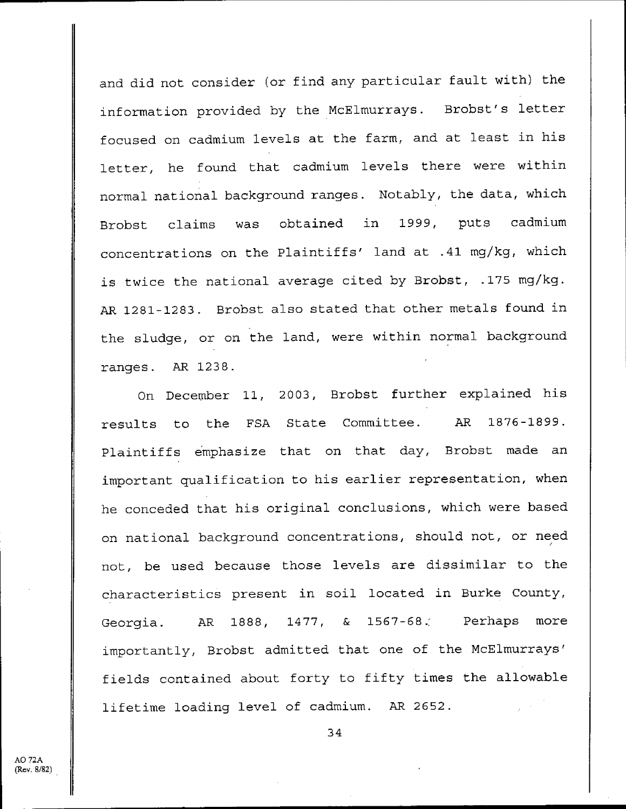and did not consider (or find any particular fault with) the information provided by the McElmurrays. Brobst's letter focused on cadmium levels at the farm, and at least in his letter, he found that cadmium levels there were within normal national background ranges. Notably, the data, which Brobst claims was obtained in 1999, puts cadmium concentrations on the Plaintiffs' land at .41 mg/kg, which is twice the national average cited by Brobst, .175 mg/kg. AR 1281-1283. Brobst also stated that other metals found in the sludge, or on the land, were within normal background ranges. AR 1238.

On December 11, 2003, Brobst further explained his results to the FSA State Committee. AR 1876-1899. Plaintiffs emphasize that on that day, Brobst made an important qualification to his earlier representation, when he conceded that his original conclusions, which were based on national background concentrations, should not, or need not, be used because those levels are dissimilar to the characteristics present in soil located in Burke County, Georgia. AR 1888, 1477, & 1567-68. Perhaps more importantly, Brobst admitted that one of the McElmurrays' fields contained about forty to fifty times the allowable lifetime loading level of cadmium. AR 2652.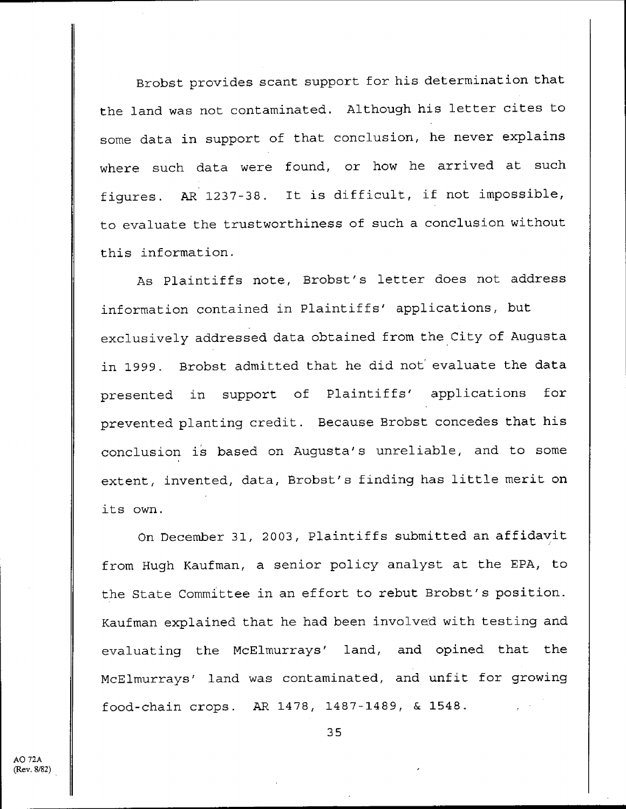Brobst provides scant support for his determination that the land was not contaminated. Although his letter cites to some data in support of that conclusion, he never explains where such data were found, or how he arrived at such figures. AR 1237-38. It is difficult, if not impossible, to evaluate the trustworthiness of such a conclusion without this information .

As Plaintiffs note, Brobst's letter does not address information contained in Plaintiffs' applications, but exclusively addressed data obtained from the City of Augusta in 1999. Brobst admitted that he did not evaluate the data presented in support of Plaintiffs' applications for prevented planting credit . Because Brobst concedes that his conclusion is based on Augusta's unreliable, and to some extent, invented, data, Brobst's finding has little merit on its own .

On December 31, 2003, Plaintiffs submitted an affidavit from Hugh Kaufman, a senior policy analyst at the EPA, to the State Committee in an effort to rebut Brobst's position . Kaufman explained that he had been involved with testing and evaluating the McElmurrays' land, and opined that the McElmurrays' land was contaminated, and unfit for growing food-chain crops . AR 1478, 1487-1489, & 1548 .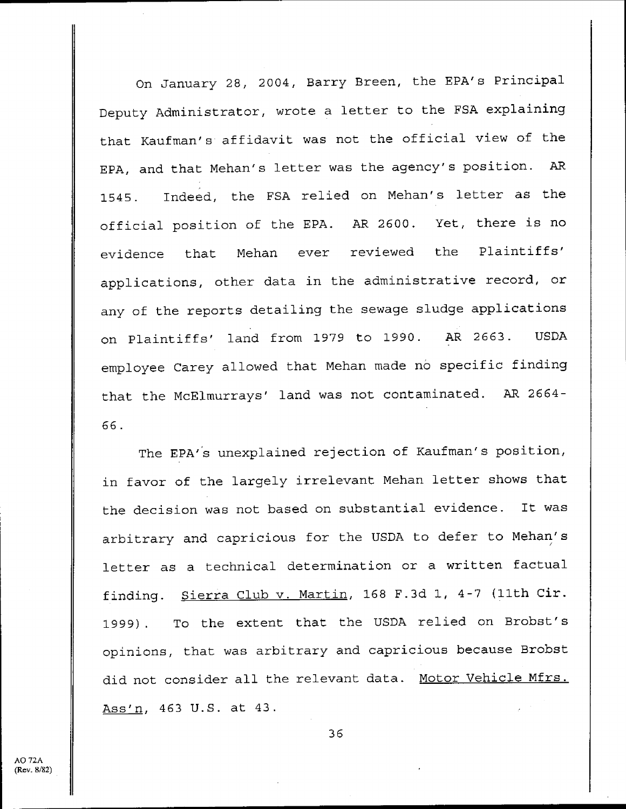On January 28, 2004, Barry Breen, the EPA's Principal Deputy Administrator, wrote a letter to the FSA explaining that Kaufman' s affidavit was not the official view of the EPA, and that Mehan's letter was the agency's position . AR 1545 . Indeed, the FSA relied on Mehan's letter as the official position of the EPA. AR 2600. Yet, there is no evidence that Mehan ever reviewed the Plaintiffs' applications, other data in the administrative record, or any of the reports detailing the sewage sludge applications on Plaintiffs' land from 1979 to 1990. AR 2663. USDA employee Carey allowed that Mehan made no specific finding that the McElmurrays' land was not contaminated. AR 2664-66 .

The EPA's unexplained rejection of Kaufman's position, in favor of the largely irrelevant Mehan letter shows that the decision was not based on substantial evidence. It was arbitrary and capricious for the USDA to defer to Mehan's letter as a technical determination or a written factual finding. Sierra Club v. Martin, 168 F.3d 1, 4-7 (11th Cir. 1999) . To the extent that the USDA relied on Brobst's opinions, that was arbitrary and capricious because Brobst did not consider all the relevant data. Motor Vehicle Mfrs. Ass'n, 463 U.S. at 43.

4O 72A (Rev. 8/82)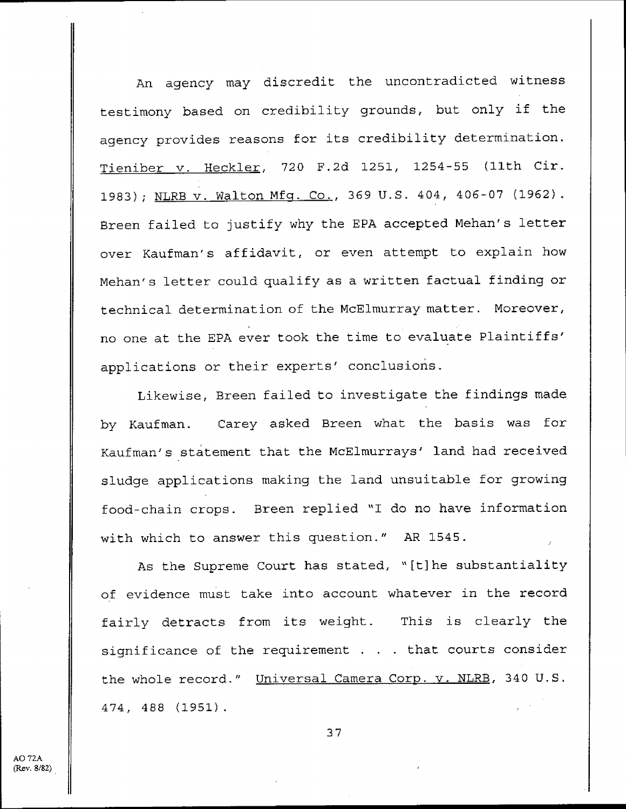An agency may discredit the uncontradicted witness testimony based on credibility grounds, but only if the agency provides reasons for its credibility determination . Tieniber v. Heckler, 720 F.2d 1251, 1254-55 (11th Cir. 1983) ; NLRB v. Walton Mfg. Co., 369 U.S. 404, 406-07 (1962). Breen failed to justify why the EPA accepted Mehan's letter over Kaufman's affidavit, or even attempt to explain how Mehan's letter could qualify as a written factual finding or technical determination of the McElmurray matter . Moreover, no one at the EPA ever took the time to evaluate Plaintiffs' applications or their experts' conclusions .

Likewise, Breen failed to investigate the findings made by Kaufman. Carey asked Breen what the basis was for Kaufman's statement that the McElmurrays' land had received sludge applications making the land unsuitable for growing food-chain crops. Breen replied "I do no have information with which to answer this question ." AR 1545 .

As the Supreme Court has stated, "[t]he substantiality of evidence must take into account whatever in the record fairly detracts from its weight. This is clearly the significance of the requirement . . . that courts consider the whole record." Universal Camera Corp. v. NLRB, 340 U.S. 474, 488 (1951) .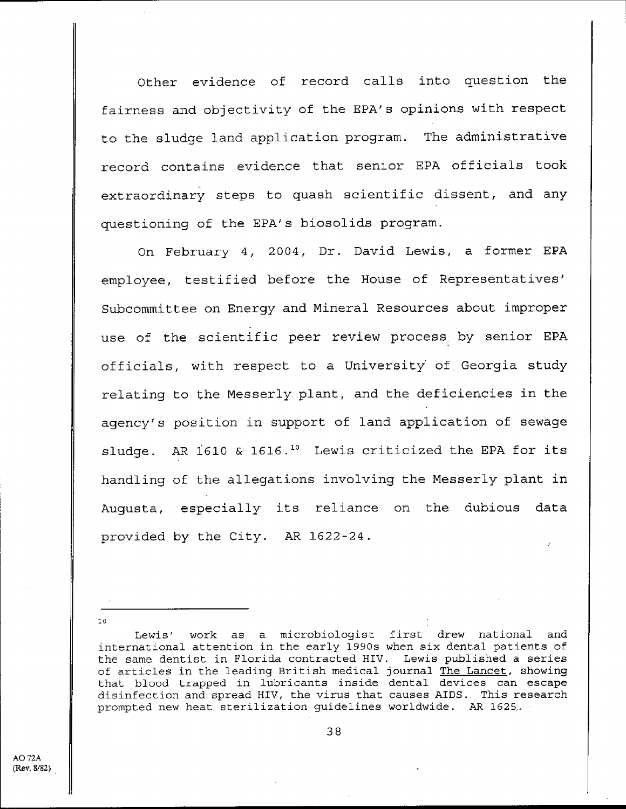Other evidence of record calls into question the fairness and objectivity of the EPA's opinions with respect to the sludge land application program. The administrative record contains evidence that senior EPA officials took extraordinary steps to quash scientific dissent, and any questioning of the EPA's biosolids program .

On February 4, 2004, Dr. David Lewis, a former EPA employee, testified before the House of Representatives' Subcommittee on Energy and Mineral Resources about improper use of the scientific peer review process, by senior EPA officials, with respect to a University of . Georgia study relating to the Messerly plant, and the deficiencies in the agency's position in support of land application of sewage sludge. AR 1610 & 1616.<sup>10</sup> Lewis criticized the EPA for its handling of the allegations involving the Messerly plant in Augusta, especially its reliance on the dubious data provided by the City. AR 1622-24.

Lewis' work as a microbiologist first drew national and international attention in the early 1990s when six dental patients of the same dentist in Florida contracted HIV. Lewis published a series of articles in the leading British medical journal The Lancet, showing that blood trapped in lubricants inside dental devices can escape disinfection and spread HIV, the virus that causes AIDS . This research prompted new heat sterilization guidelines worldwide . AR 1625. .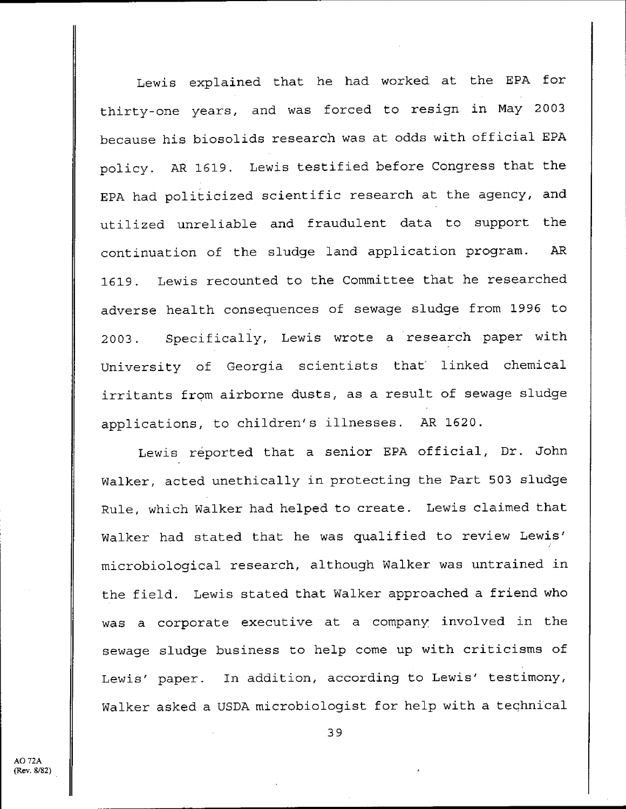Lewis explained that he had worked at the EPA for thirty-one years, and was forced to resign. in May 2003 because his biosolids research was at odds with official EPA policy. AR 1619. Lewis testified before Congress that the EPA had politicized scientific research at the agency, and utilized unreliable and fraudulent data to support the continuation of the sludge land application program. AR 1619 . Lewis recounted to the Committee that he researched adverse health consequences of sewage sludge from 1996 to 2003. Specifically, Lewis wrote a research paper with University of Georgia scientists that linked chemical irritants from airborne dusts, as a result of sewage sludge applications, to children's illnesses . AR 1620 .

Lewis reported that a senior EPA official, Dr. John Walker, acted unethically in protecting the Part 503 sludge Rule, which Walker had helped to create . Lewis claimed that Walker had stated that he was qualified to review Lewis' microbiological research, although Walker was untrained in the field. Lewis stated that Walker approached a friend who was a corporate executive at a company, involved in the sewage sludge business to help come up with criticisms of Lewis' paper. In addition, according to Lewis' testimony, Walker asked a USDA microbiologist for help with a technical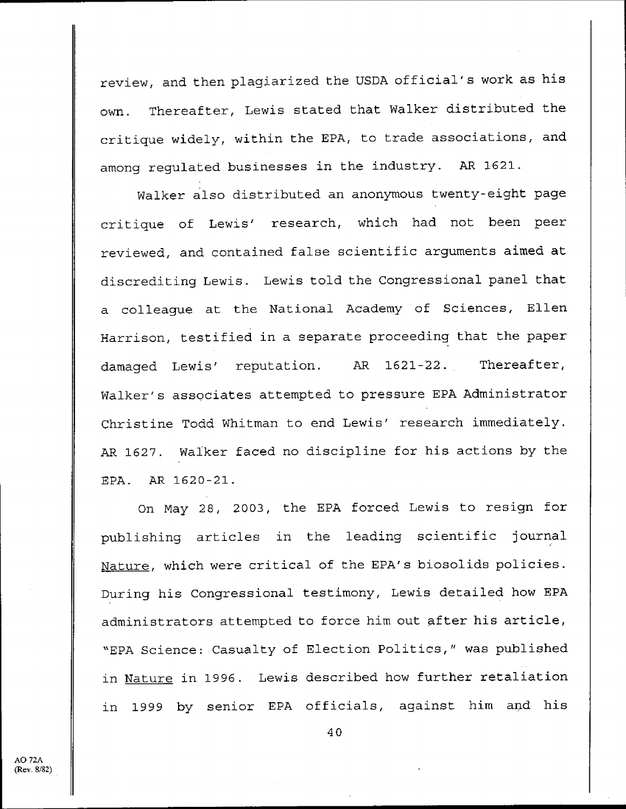review, and then plagiarized the USDA official's work as his own. Thereafter, Lewis stated that Walker distributed the critique widely, within the EPA, to trade associations, and among regulated businesses in the industry. AR 1621.

Walker also distributed an anonymous twenty-eight page critique of Lewis' research, which had not been peer reviewed, and contained false scientific arguments aimed at discrediting Lewis . Lewis told the Congressional panel that a colleague at the National Academy of Sciences, Ellen Harrison, testified in a separate proceeding that the paper damaged Lewis' reputation. AR 1621-22. Thereafter, Walker's associates attempted to pressure EPA Administrator Christine Todd Whitman to end Lewis' research immediately . AR 1627. Walker faced no discipline for his actions by the EPA. AR 1620-21.

On May 28, 2003, the EPA forced Lewis to resign for publishing articles in the leading scientific journal Nature, which were critical of the EPA's biosolids policies. During his Congressional testimony, Lewis detailed how EPA administrators attempted to force him out after his article, "EPA Science: Casualty of Election Politics," was published in Nature in 1996. Lewis described how further retaliation in 1999 by senior EPA officials, against him and his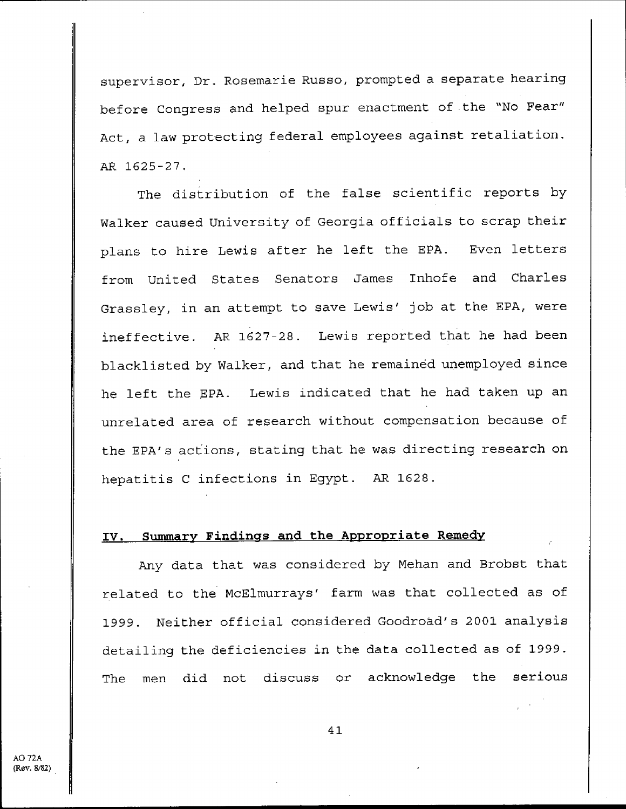supervisor, Dr. Rosemarie Russo, prompted a separate hearing before Congress and helped spur enactment of the "No Fear" Act, a law protecting federal employees against retaliation . AR **1625-27 .**

The distribution of the false scientific reports by Walker caused University of Georgia officials to scrap their plans to hire Lewis after he left the EPA. Even letters from United States Senators James Inhofe and Charles Grassley, in an attempt to save Lewis' job at the EPA, were ineffective. AR 1627-28. Lewis reported that he had been blacklisted by Walker, and that he remained unemployed since he left the EPA. Lewis indicated that he had taken up an unrelated area of research without compensation because of the EPA's actions, stating that he was directing research on hepatitis C infections in Egypt. AR 1628.

#### **IV . Summary Findings and the Appropriate Remedy**

Any data that was considered by Mehan and Brobst that related to the McElmurrays' farm was that collected as of 1999 . Neither official considered Goodroad's 2001 analysis detailing the deficiencies in the data collected as of 1999 . The men did not discuss or acknowledge the serious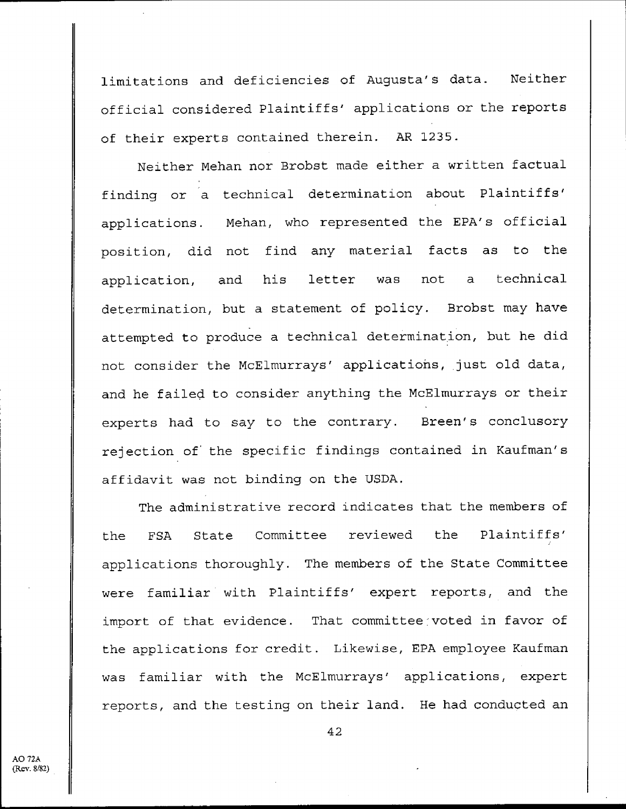limitations and deficiencies of Augusta's data. Neither official considered Plaintiffs' applications or the reports of their experts contained therein. AR 1235.

Neither Mehan nor Brobst made either a written factual finding or a technical determination about Plaintiffs' applications. Mehan, who represented the EPA's official position, did not find any material facts as to the application, and his letter was not a technical determination, but a statement of policy. Brobst may have attempted to produce a technical determination, but he did not consider the McElmurrays' applications, just old data, and he failed to consider anything the McElmurrays or their experts had to say to the contrary. Breen's conclusory rejection of the specific findings contained in Kaufman's affidavit was not binding on the USDA .

The administrative record indicates that the members of the FSA State Committee reviewed the Plaintiffs' **applications thoroughly** . **The members of the State Committee were familiar with Plaintiffs** ' **expert reports, and the import of that evidence . That committee voted in favor of the applications for credit** . **Likewise** , **EPA employee Kaufman was familiar with the McElmurrays' applications, expert reports** , **and the testing on their land . He had conducted an**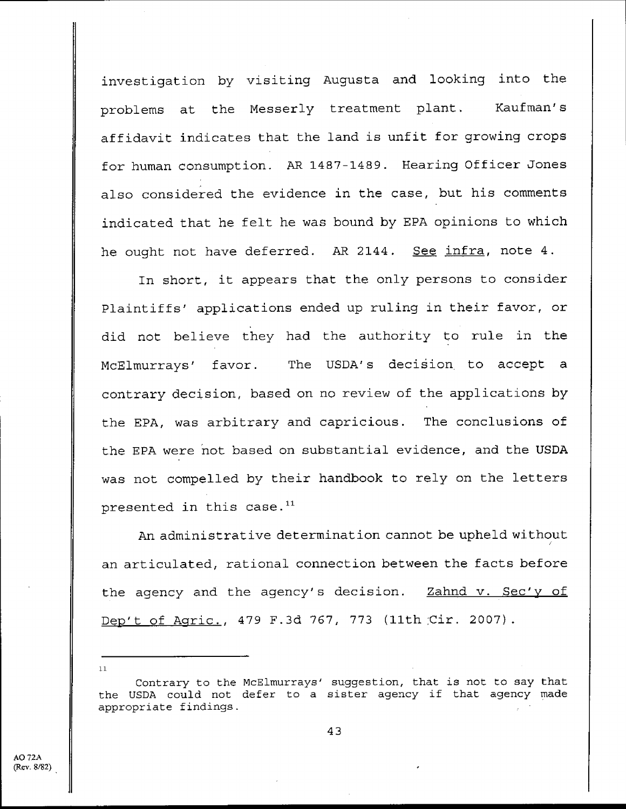investigation by visiting Augusta and looking into the problems at the Messerly treatment plant. Kaufman's affidavit indicates that the land is unfit for growing crops for human consumption . AR 1487-1489 . Hearing Officer Jones also considered the evidence in the case, but his comments indicated that he felt he was bound by EPA opinions to which he ought not have deferred. AR 2144. See infra, note 4.

In short, it appears that the only persons to consider Plaintiffs' applications ended up ruling in their favor, or did not believe they had the authority to rule in the McElmurrays' favor. The USDA's decision to accept a contrary decision, based on no review of the applications by the EPA, was arbitrary and capricious. The conclusions of the EPA were not based on substantial evidence, and the USDA was not compelled by their handbook to rely on the letters presented in this case. $11$ 

An administrative determination cannot be upheld without **an articulated** , **rational connection between the facts before** the agency and the agency's decision. **Zahnd v. Sec'y of Dep't of Agric . , 479 F .3d** 767, 773 (llth,**Cir . 2007) .**

Contrary to the McElmurrays' suggestion, that is not to say that the USDA could not defer to a sister agency if that agency made appropriate findings .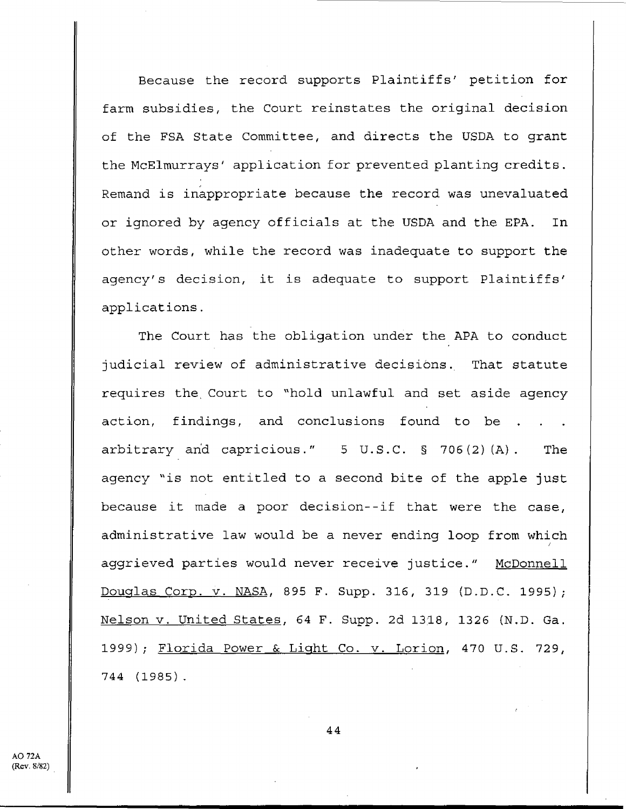Because the record supports Plaintiffs' petition for farm subsidies, the Court reinstates the original decision of the FSA State Committee, and directs the USDA to grant the McElmurrays' application for prevented planting credits . Remand is inappropriate because the record was unevaluated or ignored by agency officials at the USDA and the EPA. In other words, while the record was inadequate to support the agency's decision, it is adequate to support Plaintiffs' applications .

The Court has the obligation under the APA to conduct judicial review of administrative decisions . That statute requires the, Court to "hold unlawful and set aside agency action, findings, and conclusions found to be. arbitrary and capricious ." 5 U .S .C . § 706(2)(A) . The agency "is not entitled to a second bite of the apple just because it made a poor decision--if that were the case, administrative law would be a never ending loop from which aggrieved parties would never receive justice ." McDonnell Douglas Corp. v. NASA, 895 F. Supp. 316, 319 (D.D.C. 1995); Nelson v. United States, 64 F. Supp. 2d 1318, 1326 (N.D. Ga. 1999); Florida Power & Light Co. v. Lorion, 470 U.S. 729, 744 (1985) .

AO 72A (Rev. 8/82)